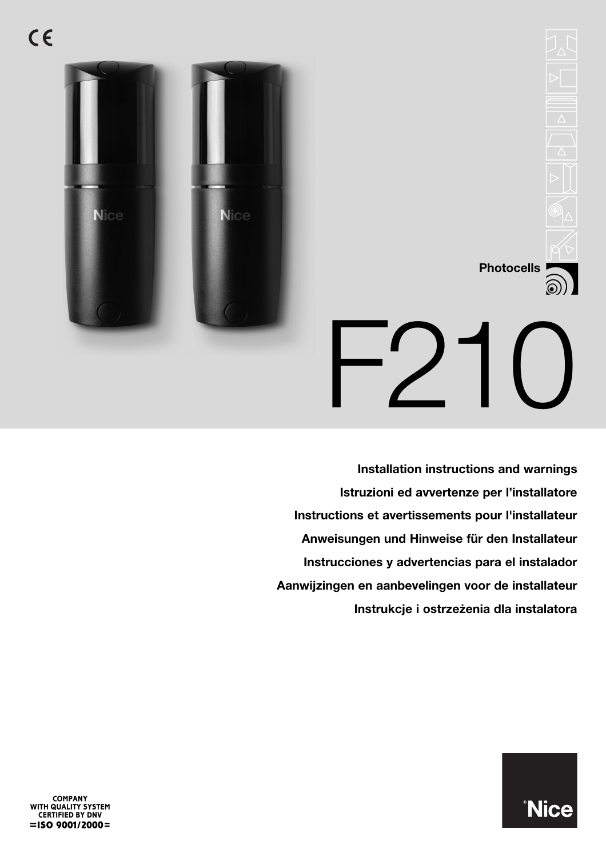

# **Photocells**  $-$ <sup>1</sup>

**Installation instructions and warnings Istruzioni ed avvertenze per l'installatore Instructions et avertissements pour l'installateur Anweisungen und Hinweise für den Installateur Instrucciones y advertencias para el instalador Aanwijzingen en aanbevelingen voor de installateur Instrukcje i ostrzeżenia dla instalatora**



COMPANY<br>WITH QUALITY SYSTEM<br>CERTIFIED BY DNV  $=$ ISO 9001/2000=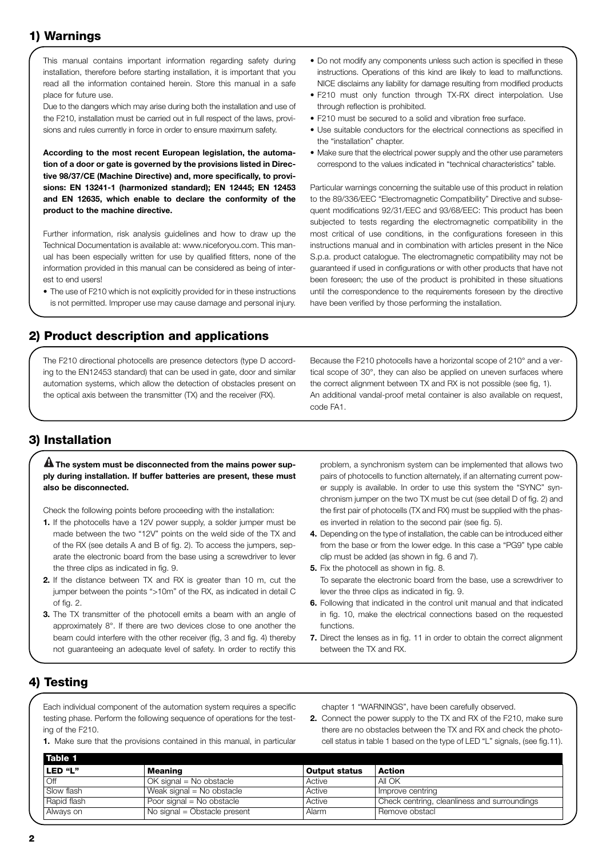# **1) Warnings**

This manual contains important information regarding safety during installation, therefore before starting installation, it is important that you read all the information contained herein. Store this manual in a safe place for future use.

Due to the dangers which may arise during both the installation and use of the F210, installation must be carried out in full respect of the laws, provisions and rules currently in force in order to ensure maximum safety.

**According to the most recent European legislation, the automation of a door or gate is governed by the provisions listed in Directive 98/37/CE (Machine Directive) and, more specifically, to provisions: EN 13241-1 (harmonized standard); EN 12445; EN 12453 and EN 12635, which enable to declare the conformity of the product to the machine directive.**

Further information, risk analysis guidelines and how to draw up the Technical Documentation is available at: www.niceforyou.com. This manual has been especially written for use by qualified fitters, none of the information provided in this manual can be considered as being of interest to end users!

• The use of F210 which is not explicitly provided for in these instructions is not permitted. Improper use may cause damage and personal injury.

- Do not modify any components unless such action is specified in these instructions. Operations of this kind are likely to lead to malfunctions. NICE disclaims any liability for damage resulting from modified products
- F210 must only function through TX-RX direct interpolation. Use through reflection is prohibited.
- F210 must be secured to a solid and vibration free surface.
- Use suitable conductors for the electrical connections as specified in the "installation" chapter.
- Make sure that the electrical power supply and the other use parameters correspond to the values indicated in "technical characteristics" table.

Particular warnings concerning the suitable use of this product in relation to the 89/336/EEC "Electromagnetic Compatibility" Directive and subsequent modifications 92/31/EEC and 93/68/EEC: This product has been subjected to tests regarding the electromagnetic compatibility in the most critical of use conditions, in the configurations foreseen in this instructions manual and in combination with articles present in the Nice S.p.a. product catalogue. The electromagnetic compatibility may not be guaranteed if used in configurations or with other products that have not been foreseen; the use of the product is prohibited in these situations until the correspondence to the requirements foreseen by the directive have been verified by those performing the installation.

#### **2) Product description and applications**

The F210 directional photocells are presence detectors (type D according to the EN12453 standard) that can be used in gate, door and similar automation systems, which allow the detection of obstacles present on the optical axis between the transmitter (TX) and the receiver (RX).

Because the F210 photocells have a horizontal scope of 210° and a vertical scope of 30°, they can also be applied on uneven surfaces where the correct alignment between TX and RX is not possible (see fig, 1). An additional vandal-proof metal container is also available on request, code FA1.

#### **3) Installation**

#### $\blacksquare$  The system must be disconnected from the mains power sup**ply during installation. If buffer batteries are present, these must also be disconnected.**

Check the following points before proceeding with the installation:

- **1.** If the photocells have a 12V power supply, a solder jumper must be made between the two "12V" points on the weld side of the TX and of the RX (see details A and B of fig. 2). To access the jumpers, separate the electronic board from the base using a screwdriver to lever the three clips as indicated in fig. 9.
- **2.** If the distance between TX and RX is greater than 10 m, cut the jumper between the points ">10m" of the RX, as indicated in detail C of fig. 2.
- **3.** The TX transmitter of the photocell emits a beam with an angle of approximately 8°. If there are two devices close to one another the beam could interfere with the other receiver (fig, 3 and fig. 4) thereby not guaranteeing an adequate level of safety. In order to rectify this

problem, a synchronism system can be implemented that allows two pairs of photocells to function alternately, if an alternating current power supply is available. In order to use this system the "SYNC" synchronism jumper on the two TX must be cut (see detail D of fig. 2) and the first pair of photocells (TX and RX) must be supplied with the phases inverted in relation to the second pair (see fig. 5).

- **4.** Depending on the type of installation, the cable can be introduced either from the base or from the lower edge. In this case a "PG9" type cable clip must be added (as shown in fig. 6 and 7).
- **5.** Fix the photocell as shown in fig. 8. To separate the electronic board from the base, use a screwdriver to lever the three clips as indicated in fig. 9.
- **6.** Following that indicated in the control unit manual and that indicated in fig. 10, make the electrical connections based on the requested functions.
- **7.** Direct the lenses as in fig. 11 in order to obtain the correct alignment between the TX and RX.

#### **4) Testing**

Each individual component of the automation system requires a specific testing phase. Perform the following sequence of operations for the testing of the F210.

**1.** Make sure that the provisions contained in this manual, in particular

chapter 1 "WARNINGS", have been carefully observed.

**2.** Connect the power supply to the TX and RX of the F210, make sure there are no obstacles between the TX and RX and check the photocell status in table 1 based on the type of LED "L" signals, (see fig.11).

| Meaning                      | <b>Output status</b> | Action                                       |
|------------------------------|----------------------|----------------------------------------------|
| $OK$ signal = No obstacle    | Active               | All OK                                       |
| Weak signal = No obstacle    | Active               | Improve centring                             |
| Poor signal = No obstacle    | Active               | Check centring, cleanliness and surroundings |
| No signal = Obstacle present | Alarm                | Remove obstacl                               |
|                              |                      |                                              |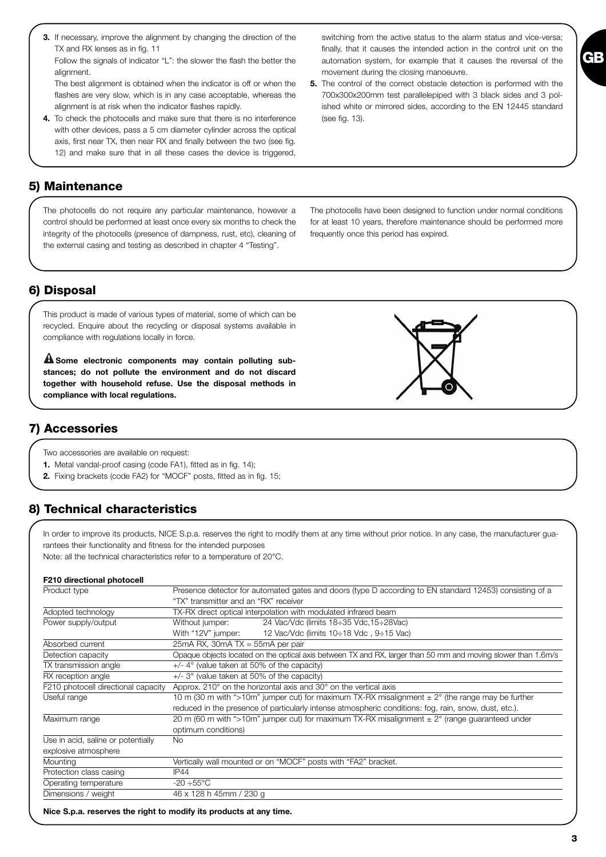**3.** If necessary, improve the alignment by changing the direction of the TX and RX lenses as in fig. 11

Follow the signals of indicator "L": the slower the flash the better the alignment.

The best alignment is obtained when the indicator is off or when the flashes are very slow, which is in any case acceptable, whereas the alignment is at risk when the indicator flashes rapidly.

**4.** To check the photocells and make sure that there is no interference with other devices, pass a 5 cm diameter cylinder across the optical axis, first near TX, then near RX and finally between the two (see fig. 12) and make sure that in all these cases the device is triggered,

#### **5) Maintenance**

The photocells do not require any particular maintenance, however a control should be performed at least once every six months to check the integrity of the photocells (presence of dampness, rust, etc), cleaning of the external casing and testing as described in chapter 4 "Testing".

The photocells have been designed to function under normal conditions for at least 10 years, therefore maintenance should be performed more frequently once this period has expired.

#### **6) Disposal**

This product is made of various types of material, some of which can be recycled. Enquire about the recycling or disposal systems available in compliance with regulations locally in force.

**Some electronic components may contain polluting sub-! stances; do not pollute the environment and do not discard together with household refuse. Use the disposal methods in compliance with local regulations.**

#### **7) Accessories**

Two accessories are available on request:

- **1.** Metal vandal-proof casing (code FA1), fitted as in fig. 14);
- **2.** Fixing brackets (code FA2) for "MOCF" posts, fitted as in fig. 15;

# **8) Technical characteristics**

In order to improve its products, NICE S.p.a. reserves the right to modify them at any time without prior notice. In any case, the manufacturer guarantees their functionality and fitness for the intended purposes

Note: all the technical characteristics refer to a temperature of 20°C.

#### **F210 directional photocell**

| Product type                        | Presence detector for automated gates and doors (type D according to EN standard 12453) consisting of a       |  |  |
|-------------------------------------|---------------------------------------------------------------------------------------------------------------|--|--|
|                                     | "TX" transmitter and an "RX" receiver                                                                         |  |  |
| Adopted technology                  | TX-RX direct optical interpolation with modulated infrared beam                                               |  |  |
| Power supply/output                 | 24 Vac/Vdc (limits 18:35 Vdc, 15:28Vac)<br>Without jumper:                                                    |  |  |
|                                     | 12 Vac/Vdc (limits $10\div 18$ Vdc, $9\div 15$ Vac)<br>With "12V" jumper:                                     |  |  |
| Absorbed current                    | $25mA$ RX, $30mA$ TX = $55mA$ per pair                                                                        |  |  |
| Detection capacity                  | Opaque objects located on the optical axis between TX and RX, larger than 50 mm and moving slower than 1.6m/s |  |  |
| TX transmission angle               | $+/-$ 4° (value taken at 50% of the capacity)                                                                 |  |  |
| RX reception angle                  | $+/-$ 3° (value taken at 50% of the capacity)                                                                 |  |  |
| F210 photocell directional capacity | Approx. 210 $^{\circ}$ on the horizontal axis and 30 $^{\circ}$ on the vertical axis                          |  |  |
| Useful range                        | 10 m (30 m with ">10m" jumper cut) for maximum TX-RX misalignment $\pm$ 2° (the range may be further          |  |  |
|                                     | reduced in the presence of particularly intense atmospheric conditions: fog, rain, snow, dust, etc.).         |  |  |
| Maximum range                       | 20 m (60 m with ">10m" jumper cut) for maximum TX-RX misalignment $\pm$ 2 $\degree$ (range guaranteed under   |  |  |
|                                     | optimum conditions)                                                                                           |  |  |
| Use in acid, saline or potentially  | <b>No</b>                                                                                                     |  |  |
| explosive atmosphere                |                                                                                                               |  |  |
| <b>Mounting</b>                     | Vertically wall mounted or on "MOCF" posts with "FA2" bracket.                                                |  |  |
| Protection class casing             | IP44                                                                                                          |  |  |
| Operating temperature               | -20 ÷55°C                                                                                                     |  |  |
| Dimensions / weight                 | 46 x 128 h 45mm / 230 g                                                                                       |  |  |

switching from the active status to the alarm status and vice-versa; finally, that it causes the intended action in the control unit on the automation system, for example that it causes the reversal of the movement during the closing manoeuvre.

**5.** The control of the correct obstacle detection is performed with the 700x300x200mm test parallelepiped with 3 black sides and 3 polished white or mirrored sides, according to the EN 12445 standard (see fig. 13).

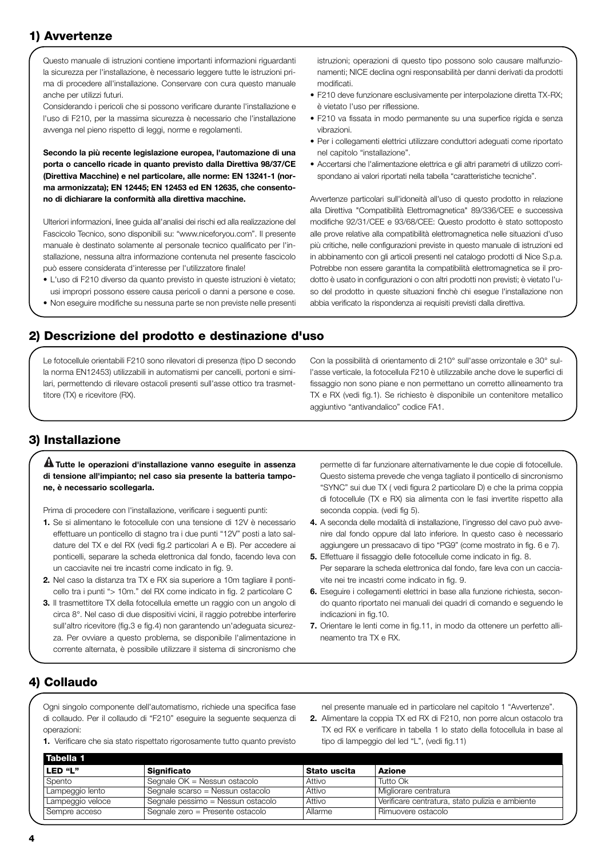#### **1) Avvertenze**

Questo manuale di istruzioni contiene importanti informazioni riguardanti la sicurezza per l'installazione, è necessario leggere tutte le istruzioni prima di procedere all'installazione. Conservare con cura questo manuale anche per utilizzi futuri.

Considerando i pericoli che si possono verificare durante l'installazione e l'uso di F210, per la massima sicurezza è necessario che l'installazione avvenga nel pieno rispetto di leggi, norme e regolamenti.

**Secondo la più recente legislazione europea, l'automazione di una porta o cancello ricade in quanto previsto dalla Direttiva 98/37/CE (Direttiva Macchine) e nel particolare, alle norme: EN 13241-1 (norma armonizzata); EN 12445; EN 12453 ed EN 12635, che consentono di dichiarare la conformità alla direttiva macchine.**

Ulteriori informazioni, linee guida all'analisi dei rischi ed alla realizzazione del Fascicolo Tecnico, sono disponibili su: "www.niceforyou.com". Il presente manuale è destinato solamente al personale tecnico qualificato per l'installazione, nessuna altra informazione contenuta nel presente fascicolo può essere considerata d'interesse per l'utilizzatore finale!

- L'uso di F210 diverso da quanto previsto in queste istruzioni è vietato; usi impropri possono essere causa pericoli o danni a persone e cose.
- Non eseguire modifiche su nessuna parte se non previste nelle presenti

istruzioni; operazioni di questo tipo possono solo causare malfunzionamenti; NICE declina ogni responsabilità per danni derivati da prodotti modificati.

- F210 deve funzionare esclusivamente per interpolazione diretta TX-RX; è vietato l'uso per riflessione.
- F210 va fissata in modo permanente su una superfice rigida e senza vibrazioni.
- Per i collegamenti elettrici utilizzare conduttori adeguati come riportato nel capitolo "installazione".
- Accertarsi che l'alimentazione elettrica e gli altri parametri di utilizzo corrispondano ai valori riportati nella tabella "caratteristiche tecniche".

Avvertenze particolari sull'idoneità all'uso di questo prodotto in relazione alla Direttiva "Compatibilità Elettromagnetica" 89/336/CEE e successiva modifiche 92/31/CEE e 93/68/CEE: Questo prodotto è stato sottoposto alle prove relative alla compatibilità elettromagnetica nelle situazioni d'uso più critiche, nelle configurazioni previste in questo manuale di istruzioni ed in abbinamento con gli articoli presenti nel catalogo prodotti di Nice S.p.a. Potrebbe non essere garantita la compatibilità elettromagnetica se il prodotto è usato in configurazioni o con altri prodotti non previsti; è vietato l'uso del prodotto in queste situazioni finchè chi esegue l'installazione non abbia verificato la rispondenza ai requisiti previsti dalla direttiva.

#### **2) Descrizione del prodotto e destinazione d'uso**

Le fotocellule orientabili F210 sono rilevatori di presenza (tipo D secondo la norma EN12453) utilizzabili in automatismi per cancelli, portoni e similari, permettendo di rilevare ostacoli presenti sull'asse ottico tra trasmettitore (TX) e ricevitore (RX).

Con la possibilità di orientamento di 210° sull'asse orrizontale e 30° sull'asse verticale, la fotocellula F210 è utilizzabile anche dove le superfici di fissaggio non sono piane e non permettano un corretto allineamento tra TX e RX (vedi fig.1). Se richiesto è disponibile un contenitore metallico aggiuntivo "antivandalico" codice FA1.

#### **3) Installazione**

#### **Tutte le operazioni d'installazione vanno eseguite in assenza ! di tensione all'impianto; nel caso sia presente la batteria tampone, è necessario scollegarla.**

Prima di procedere con l'installazione, verificare i seguenti punti:

- **1.** Se si alimentano le fotocellule con una tensione di 12V è necessario effettuare un ponticello di stagno tra i due punti "12V" posti a lato saldature del TX e del RX (vedi fig.2 particolari A e B). Per accedere ai ponticelli, separare la scheda elettronica dal fondo, facendo leva con un cacciavite nei tre incastri come indicato in fig. 9.
- **2.** Nel caso la distanza tra TX e RX sia superiore a 10m tagliare il ponticello tra i punti "> 10m." del RX come indicato in fig. 2 particolare C
- **3.** Il trasmettitore TX della fotocellula emette un raggio con un angolo di circa 8°. Nel caso di due dispositivi vicini, il raggio potrebbe interferire sull'altro ricevitore (fig.3 e fig.4) non garantendo un'adeguata sicurezza. Per ovviare a questo problema, se disponibile l'alimentazione in corrente alternata, è possibile utilizzare il sistema di sincronismo che

permette di far funzionare alternativamente le due copie di fotocellule. Questo sistema prevede che venga tagliato il ponticello di sincronismo "SYNC" sui due TX ( vedi figura 2 particolare D) e che la prima coppia di fotocellule (TX e RX) sia alimenta con le fasi invertite rispetto alla seconda coppia. (vedi fig 5).

- **4.** A seconda delle modalità di installazione, l'ingresso del cavo può avvenire dal fondo oppure dal lato inferiore. In questo caso è necessario aggiungere un pressacavo di tipo "PG9" (come mostrato in fig. 6 e 7).
- **5.** Effettuare il fissaggio delle fotocellule come indicato in fig. 8. Per separare la scheda elettronica dal fondo, fare leva con un cacciavite nei tre incastri come indicato in fig. 9.
- **6.** Eseguire i collegamenti elettrici in base alla funzione richiesta, secondo quanto riportato nei manuali dei quadri di comando e seguendo le indicazioni in fig.10.
- **7.** Orientare le lenti come in fig.11, in modo da ottenere un perfetto allineamento tra TX e RX.

#### **4) Collaudo**

Ogni singolo componente dell'automatismo, richiede una specifica fase di collaudo. Per il collaudo di "F210" eseguire la seguente sequenza di operazioni:

**1.** Verificare che sia stato rispettato rigorosamente tutto quanto previsto

nel presente manuale ed in particolare nel capitolo 1 "Avvertenze".

**2.** Alimentare la coppia TX ed RX di F210, non porre alcun ostacolo tra TX ed RX e verificare in tabella 1 lo stato della fotocellula in base al tipo di lampeggio del led "L", (vedi fig.11)

| <b>Significato</b>                | Stato uscita | Azione                                          |
|-----------------------------------|--------------|-------------------------------------------------|
| Segnale OK = Nessun ostacolo      | Attivo       | Tutto Ok                                        |
| Segnale scarso = Nessun ostacolo  | Attivo       | Migliorare centratura                           |
| Segnale pessimo = Nessun ostacolo | Attivo       | Verificare centratura, stato pulizia e ambiente |
| Segnale zero = Presente ostacolo  | Allarme      | Rimuovere ostacolo                              |
|                                   |              |                                                 |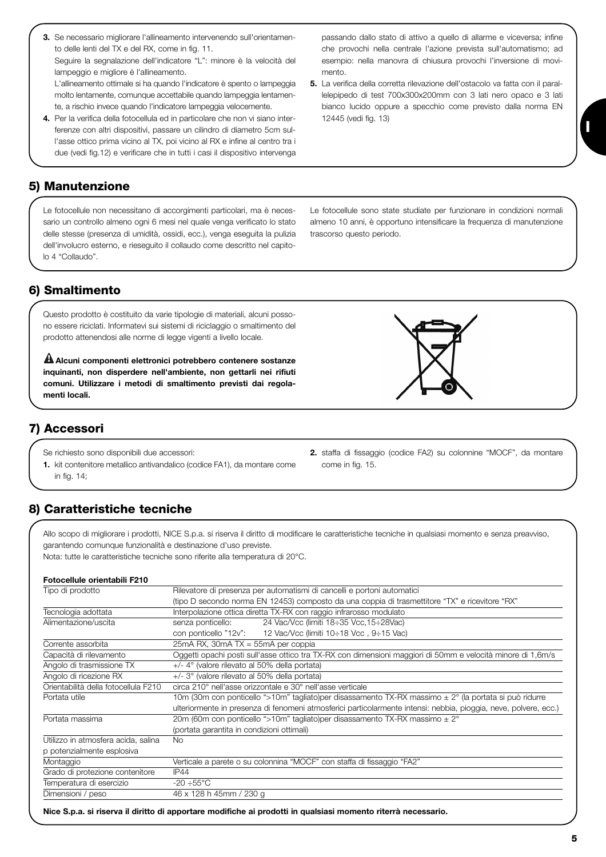**3.** Se necessario migliorare l'allineamento intervenendo sull'orientamento delle lenti del TX e del RX, come in fig. 11. Seguire la segnalazione dell'indicatore "L": minore è la velocità del lampeggio e migliore è l'allineamento. L'allineamento ottimale si ha quando l'indicatore è spento o lampeggia

molto lentamente, comunque accettabile quando lampeggia lentamente, a rischio invece quando l'indicatore lampeggia velocemente.

**4.** Per la verifica della fotocellula ed in particolare che non vi siano interferenze con altri dispositivi, passare un cilindro di diametro 5cm sull'asse ottico prima vicino al TX, poi vicino al RX e infine al centro tra i due (vedi fig.12) e verificare che in tutti i casi il dispositivo intervenga

# **5) Manutenzione**

Le fotocellule non necessitano di accorgimenti particolari, ma è necessario un controllo almeno ogni 6 mesi nel quale venga verificato lo stato delle stesse (presenza di umidità, ossidi, ecc.), venga eseguita la pulizia dell'involucro esterno, e rieseguito il collaudo come descritto nel capitolo 4 "Collaudo".

Le fotocellule sono state studiate per funzionare in condizioni normali almeno 10 anni, è opportuno intensificare la frequenza di manutenzione trascorso questo periodo.

passando dallo stato di attivo a quello di allarme e viceversa; infine che provochi nella centrale l'azione prevista sull'automatismo; ad esempio: nella manovra di chiusura provochi l'inversione di movi-

**5.** La verifica della corretta rilevazione dell'ostacolo va fatta con il parallelepipedo di test 700x300x200mm con 3 lati nero opaco e 3 lati bianco lucido oppure a specchio come previsto dalla norma EN

mento.

12445 (vedi fig. 13)

# **6) Smaltimento**

Questo prodotto è costituito da varie tipologie di materiali, alcuni possono essere riciclati. Informatevi sui sistemi di riciclaggio o smaltimento del prodotto attenendosi alle norme di legge vigenti a livello locale.

**Alcuni componenti elettronici potrebbero contenere sostanze ! inquinanti, non disperdere nell'ambiente, non gettarli nei rifiuti comuni. Utilizzare i metodi di smaltimento previsti dai regolamenti locali.**

# **7) Accessori**

Se richiesto sono disponibili due accessori:

**1.** kit contenitore metallico antivandalico (codice FA1), da montare come in fig. 14;

# **8) Caratteristiche tecniche**

Allo scopo di migliorare i prodotti, NICE S.p.a. si riserva il diritto di modificare le caratteristiche tecniche in qualsiasi momento e senza preavviso, garantendo comunque funzionalità e destinazione d'uso previste.

come in fig. 15.

Nota: tutte le caratteristiche tecniche sono riferite alla temperatura di 20°C.

#### **Fotocellule orientabili F210**

| Tipo di prodotto                     | Rilevatore di presenza per automatismi di cancelli e portoni automatici                                           |  |  |
|--------------------------------------|-------------------------------------------------------------------------------------------------------------------|--|--|
|                                      | (tipo D secondo norma EN 12453) composto da una coppia di trasmettitore "TX" e ricevitore "RX"                    |  |  |
| Tecnologia adottata                  | Interpolazione ottica diretta TX-RX con raggio infrarosso modulato                                                |  |  |
| Alimentazione/uscita                 | senza ponticello:<br>24 Vac/Vcc (limiti 18÷35 Vcc, 15÷28Vac)                                                      |  |  |
|                                      | con ponticello "12v": $12$ Vac/Vcc (limiti 10÷18 Vcc, 9÷15 Vac)                                                   |  |  |
| Corrente assorbita                   | $25mA$ RX, $30mA$ TX = $55mA$ per coppia                                                                          |  |  |
| Capacità di rilevamento              | Oggetti opachi posti sull'asse ottico tra TX-RX con dimensioni maggiori di 50mm e velocità minore di 1,6m/s       |  |  |
| Angolo di trasmissione TX            | $+/-$ 4° (valore rilevato al 50% della portata)                                                                   |  |  |
| Angolo di ricezione RX               | +/- 3° (valore rilevato al 50% della portata)                                                                     |  |  |
| Orientabilità della fotocellula F210 | circa 210° nell'asse orizzontale e 30° nell'asse verticale                                                        |  |  |
| Portata utile                        | 10m (30m con ponticello ">10m" tagliato)per disassamento TX-RX massimo $\pm 2^{\circ}$ (la portata si può ridurre |  |  |
|                                      | ulteriormente in presenza di fenomeni atmosferici particolarmente intensi: nebbia, pioggia, neve, polvere, ecc.)  |  |  |
| Portata massima                      | 20m (60m con ponticello ">10m" tagliato)per disassamento TX-RX massimo ± 2°                                       |  |  |
|                                      | (portata garantita in condizioni ottimali)                                                                        |  |  |
| Utilizzo in atmosfera acida, salina  | <b>No</b>                                                                                                         |  |  |
| p potenzialmente esplosiva           |                                                                                                                   |  |  |
| Montaggio                            | Verticale a parete o su colonnina "MOCF" con staffa di fissaggio "FA2"                                            |  |  |
| Grado di protezione contenitore      | IP44                                                                                                              |  |  |
| Temperatura di esercizio             | $-20 \div 55^{\circ}$ C                                                                                           |  |  |
| Dimensioni / peso                    | 46 x 128 h 45mm / 230 g                                                                                           |  |  |

**Nice S.p.a. si riserva il diritto di apportare modifiche ai prodotti in qualsiasi momento riterrà necessario.** 



**2.** staffa di fissaggio (codice FA2) su colonnine "MOCF", da montare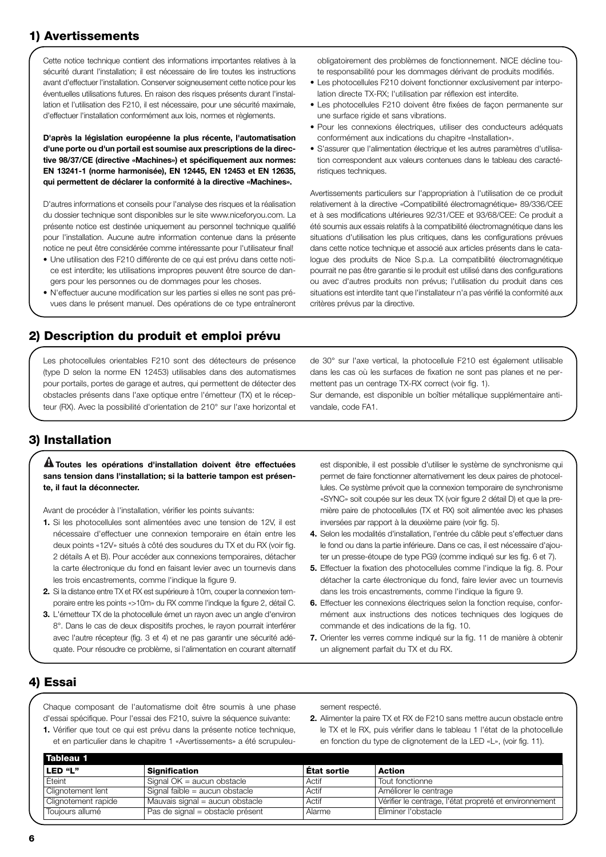## **1) Avertissements**

Cette notice technique contient des informations importantes relatives à la sécurité durant l'installation; il est nécessaire de lire toutes les instructions avant d'effectuer l'installation. Conserver soigneusement cette notice pour les éventuelles utilisations futures. En raison des risques présents durant l'installation et l'utilisation des F210, il est nécessaire, pour une sécurité maximale, d'effectuer l'installation conformément aux lois, normes et règlements.

**D'après la législation européenne la plus récente, l'automatisation d'une porte ou d'un portail est soumise aux prescriptions de la directive 98/37/CE (directive «Machines») et spécifiquement aux normes: EN 13241-1 (norme harmonisée), EN 12445, EN 12453 et EN 12635, qui permettent de déclarer la conformité à la directive «Machines».**

D'autres informations et conseils pour l'analyse des risques et la réalisation du dossier technique sont disponibles sur le site www.niceforyou.com. La présente notice est destinée uniquement au personnel technique qualifié pour l'installation. Aucune autre information contenue dans la présente notice ne peut être considérée comme intéressante pour l'utilisateur final!

- Une utilisation des F210 différente de ce qui est prévu dans cette notice est interdite; les utilisations impropres peuvent être source de dangers pour les personnes ou de dommages pour les choses.
- N'effectuer aucune modification sur les parties si elles ne sont pas prévues dans le présent manuel. Des opérations de ce type entraîneront

obligatoirement des problèmes de fonctionnement. NICE décline toute responsabilité pour les dommages dérivant de produits modifiés.

- Les photocellules F210 doivent fonctionner exclusivement par interpolation directe TX-RX; l'utilisation par réflexion est interdite.
- Les photocellules F210 doivent être fixées de façon permanente sur une surface rigide et sans vibrations.
- Pour les connexions électriques, utiliser des conducteurs adéquats conformément aux indications du chapitre «Installation».
- S'assurer que l'alimentation électrique et les autres paramètres d'utilisation correspondent aux valeurs contenues dans le tableau des caractéristiques techniques.

Avertissements particuliers sur l'appropriation à l'utilisation de ce produit relativement à la directive «Compatibilité électromagnétique» 89/336/CEE et à ses modifications ultérieures 92/31/CEE et 93/68/CEE: Ce produit a été soumis aux essais relatifs à la compatibilité électromagnétique dans les situations d'utilisation les plus critiques, dans les configurations prévues dans cette notice technique et associé aux articles présents dans le catalogue des produits de Nice S.p.a. La compatibilité électromagnétique pourrait ne pas être garantie si le produit est utilisé dans des configurations ou avec d'autres produits non prévus; l'utilisation du produit dans ces situations est interdite tant que l'installateur n'a pas vérifié la conformité aux critères prévus par la directive.

#### **2) Description du produit et emploi prévu**

Les photocellules orientables F210 sont des détecteurs de présence (type D selon la norme EN 12453) utilisables dans des automatismes pour portails, portes de garage et autres, qui permettent de détecter des obstacles présents dans l'axe optique entre l'émetteur (TX) et le récepteur (RX). Avec la possibilité d'orientation de 210° sur l'axe horizontal et

de 30° sur l'axe vertical, la photocellule F210 est également utilisable dans les cas où les surfaces de fixation ne sont pas planes et ne permettent pas un centrage TX-RX correct (voir fig. 1).

Sur demande, est disponible un boîtier métallique supplémentaire antivandale, code FA1.

#### **3) Installation**

#### **Toutes les opérations d'installation doivent être effectuées ! sans tension dans l'installation; si la batterie tampon est présente, il faut la déconnecter.**

Avant de procéder à l'installation, vérifier les points suivants:

- **1.** Si les photocellules sont alimentées avec une tension de 12V, il est nécessaire d'effectuer une connexion temporaire en étain entre les deux points «12V» situés à côté des soudures du TX et du RX (voir fig. 2 détails A et B). Pour accéder aux connexions temporaires, détacher la carte électronique du fond en faisant levier avec un tournevis dans les trois encastrements, comme l'indique la figure 9.
- **2.** Si la distance entre TX et RX est supérieure à 10m, couper la connexion temporaire entre les points «>10m» du RX comme l'indique la figure 2, détail C.
- **3.** L'émetteur TX de la photocellule émet un rayon avec un angle d'environ 8°. Dans le cas de deux dispositifs proches, le rayon pourrait interférer avec l'autre récepteur (fig. 3 et 4) et ne pas garantir une sécurité adéquate. Pour résoudre ce problème, si l'alimentation en courant alternatif

est disponible, il est possible d'utiliser le système de synchronisme qui permet de faire fonctionner alternativement les deux paires de photocellules. Ce système prévoit que la connexion temporaire de synchronisme «SYNC» soit coupée sur les deux TX (voir figure 2 détail D) et que la première paire de photocellules (TX et RX) soit alimentée avec les phases inversées par rapport à la deuxième paire (voir fig. 5).

- **4.** Selon les modalités d'installation, l'entrée du câble peut s'effectuer dans le fond ou dans la partie inférieure. Dans ce cas, il est nécessaire d'ajouter un presse-étoupe de type PG9 (comme indiqué sur les fig. 6 et 7).
- **5.** Effectuer la fixation des photocellules comme l'indique la fig. 8. Pour détacher la carte électronique du fond, faire levier avec un tournevis dans les trois encastrements, comme l'indique la figure 9.
- **6.** Effectuer les connexions électriques selon la fonction requise, conformément aux instructions des notices techniques des logiques de commande et des indications de la fig. 10.
- **7.** Orienter les verres comme indiqué sur la fig. 11 de manière à obtenir un alignement parfait du TX et du RX.

# **4) Essai**

Chaque composant de l'automatisme doit être soumis à une phase d'essai spécifique. Pour l'essai des F210, suivre la séquence suivante:

**1.** Vérifier que tout ce qui est prévu dans la présente notice technique, et en particulier dans le chapitre 1 «Avertissements» a été scrupuleusement respecté.

**2.** Alimenter la paire TX et RX de F210 sans mettre aucun obstacle entre le TX et le RX, puis vérifier dans le tableau 1 l'état de la photocellule en fonction du type de clignotement de la LED «L», (voir fig. 11).

| Tableau 1           |                                  |             |                                                        |
|---------------------|----------------------------------|-------------|--------------------------------------------------------|
| LED "L"             | <b>Signification</b>             | État sortie | Action                                                 |
| Éteint              | Signal $OK =$ aucun obstacle     | Actif       | Tout fonctionne                                        |
| Clignotement lent   | Signal faible = aucun obstacle   | Actif       | Améliorer le centrage                                  |
| Clignotement rapide | Mauvais signal = aucun obstacle  | Actif       | Vérifier le centrage, l'état propreté et environnement |
| Toujours allumé     | Pas de signal = obstacle présent | Alarme      | Éliminer l'obstacle                                    |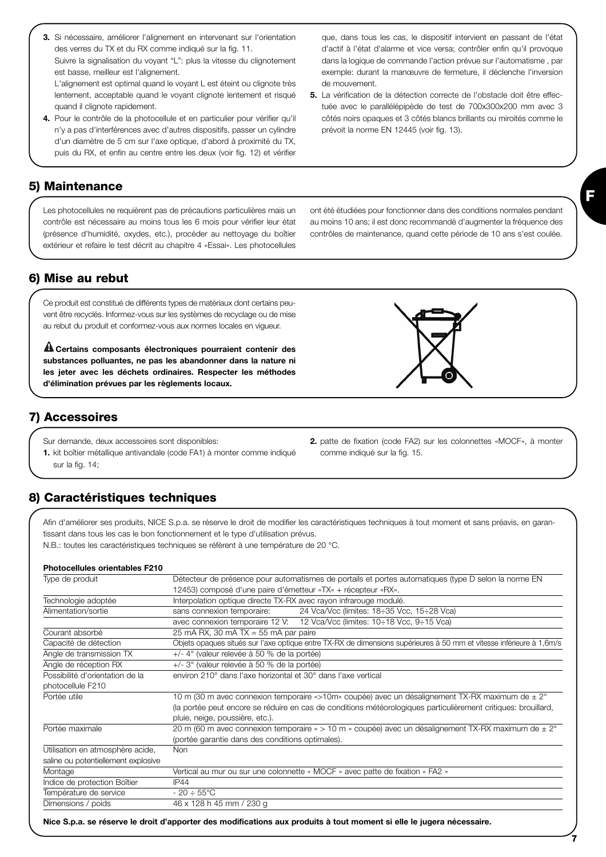- **3.** Si nécessaire, améliorer l'alignement en intervenant sur l'orientation des verres du TX et du RX comme indiqué sur la fig. 11. Suivre la signalisation du voyant "L": plus la vitesse du clignotement est basse, meilleur est l'alignement. L'alignement est optimal quand le voyant L est éteint ou clignote très
- lentement, acceptable quand le voyant clignote lentement et risqué quand il clignote rapidement. **4.** Pour le contrôle de la photocellule et en particulier pour vérifier qu'il n'y a pas d'interférences avec d'autres dispositifs, passer un cylindre
- d'un diamètre de 5 cm sur l'axe optique, d'abord à proximité du TX, puis du RX, et enfin au centre entre les deux (voir fig. 12) et vérifier

que, dans tous les cas, le dispositif intervient en passant de l'état d'actif à l'état d'alarme et vice versa; contrôler enfin qu'il provoque dans la logique de commande l'action prévue sur l'automatisme , par exemple: durant la manœuvre de fermeture, il déclenche l'inversion de mouvement.

**5.** La vérification de la détection correcte de l'obstacle doit être effectuée avec le parallélépipède de test de 700x300x200 mm avec 3 côtés noirs opaques et 3 côtés blancs brillants ou miroités comme le prévoit la norme EN 12445 (voir fig. 13).

# **5) Maintenance**

Les photocellules ne requièrent pas de précautions particulières mais un contrôle est nécessaire au moins tous les 6 mois pour vérifier leur état (présence d'humidité, oxydes, etc.), procéder au nettoyage du boîtier extérieur et refaire le test décrit au chapitre 4 «Essai». Les photocellules ont été étudiées pour fonctionner dans des conditions normales pendant au moins 10 ans; il est donc recommandé d'augmenter la fréquence des contrôles de maintenance, quand cette période de 10 ans s'est coulée.

#### **6) Mise au rebut**

Ce produit est constitué de différents types de matériaux dont certains peuvent être recyclés. Informez-vous sur les systèmes de recyclage ou de mise au rebut du produit et conformez-vous aux normes locales en vigueur.

**Certains composants électroniques pourraient contenir des ! substances polluantes, ne pas les abandonner dans la nature ni les jeter avec les déchets ordinaires. Respecter les méthodes d'élimination prévues par les règlements locaux.**

#### **7) Accessoires**

- Sur demande, deux accessoires sont disponibles:
- **1.** kit boîtier métallique antivandale (code FA1) à monter comme indiqué sur la fig. 14;

#### **8) Caractéristiques techniques**

Afin d'améliorer ses produits, NICE S.p.a. se réserve le droit de modifier les caractéristiques techniques à tout moment et sans préavis, en garantissant dans tous les cas le bon fonctionnement et le type d'utilisation prévus.

N.B.: toutes les caractéristiques techniques se réfèrent à une température de 20 °C.

#### **Photocellules orientables F210**

| Type de produit                     | Détecteur de présence pour automatismes de portails et portes automatiques (type D selon la norme EN                 |
|-------------------------------------|----------------------------------------------------------------------------------------------------------------------|
|                                     | 12453) composé d'une paire d'émetteur «TX» + récepteur «RX».                                                         |
| Technologie adoptée                 | Interpolation optique directe TX-RX avec rayon infrarouge modulé.                                                    |
| Alimentation/sortie                 | 24 Vca/Vcc (limites: 18÷35 Vcc, 15÷28 Vca)<br>sans connexion temporaire:                                             |
|                                     | avec connexion temporaire 12 V: 12 Vca/Vcc (limites: 10÷18 Vcc, 9÷15 Vca)                                            |
| Courant absorbé                     | 25 mA RX, 30 mA TX = 55 mA par paire                                                                                 |
| Capacité de détection               | Objets opaques situés sur l'axe optique entre TX-RX de dimensions supérieures à 50 mm et vitesse inférieure à 1,6m/s |
| Angle de transmission TX            | $+/-$ 4° (valeur relevée à 50 % de la portée)                                                                        |
| Angle de réception RX               | +/- 3° (valeur relevée à 50 % de la portée)                                                                          |
| Possibilité d'orientation de la     | environ 210° dans l'axe horizontal et 30° dans l'axe vertical                                                        |
| photocellule F210                   |                                                                                                                      |
| Portée utile                        | 10 m (30 m avec connexion temporaire «>10m» coupée) avec un désalignement TX-RX maximum de $\pm 2^{\circ}$           |
|                                     | (la portée peut encore se réduire en cas de conditions météorologiques particulièrement critiques: brouillard,       |
|                                     | pluie, neige, poussière, etc.).                                                                                      |
| Portée maximale                     | 20 m (60 m avec connexion temporaire « > 10 m » coupée) avec un désalignement TX-RX maximum de ± 2°                  |
|                                     | (portée garantie dans des conditions optimales).                                                                     |
| Utilisation en atmosphère acide,    | <b>Non</b>                                                                                                           |
| saline ou potentiellement explosive |                                                                                                                      |
| Montage                             | Vertical au mur ou sur une colonnette « MOCF » avec patte de fixation « FA2 »                                        |
| Indice de protection Boîtier        | IP44                                                                                                                 |
| Température de service              | $-20 \div 55^{\circ}$ C                                                                                              |
| Dimensions / poids                  | 46 x 128 h 45 mm / 230 g                                                                                             |
|                                     |                                                                                                                      |

**Nice S.p.a. se réserve le droit d'apporter des modifications aux produits à tout moment si elle le jugera nécessaire.**

- 
- **2.** patte de fixation (code FA2) sur les colonnettes «MOCF», à monter comme indiqué sur la fig. 15.

**7**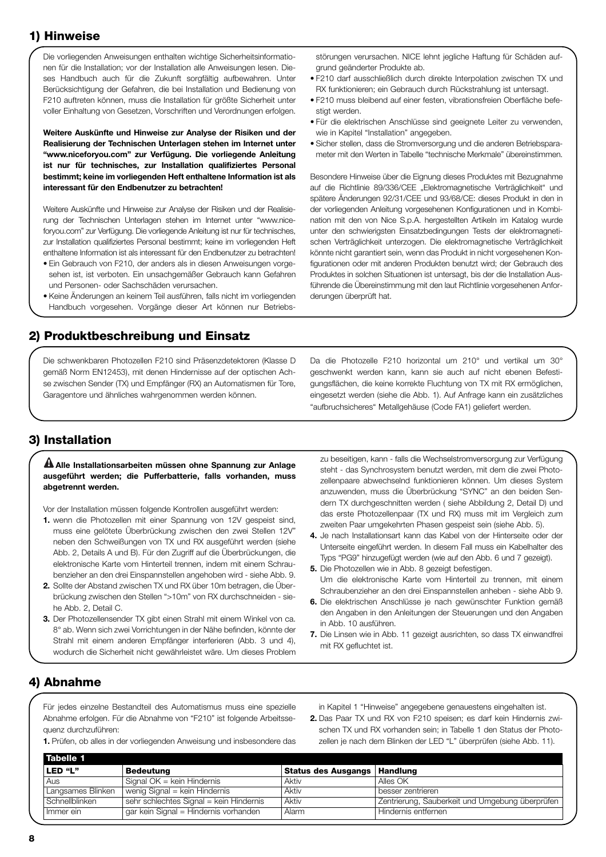### **1) Hinweise**

Die vorliegenden Anweisungen enthalten wichtige Sicherheitsinformationen für die Installation; vor der Installation alle Anweisungen lesen. Dieses Handbuch auch für die Zukunft sorgfältig aufbewahren. Unter Berücksichtigung der Gefahren, die bei Installation und Bedienung von F210 auftreten können, muss die Installation für größte Sicherheit unter voller Einhaltung von Gesetzen, Vorschriften und Verordnungen erfolgen.

**Weitere Auskünfte und Hinweise zur Analyse der Risiken und der Realisierung der Technischen Unterlagen stehen im Internet unter "www.niceforyou.com" zur Verfügung. Die vorliegende Anleitung ist nur für technisches, zur Installation qualifiziertes Personal bestimmt; keine im vorliegenden Heft enthaltene Information ist als interessant für den Endbenutzer zu betrachten!**

Weitere Auskünfte und Hinweise zur Analyse der Risiken und der Realisierung der Technischen Unterlagen stehen im Internet unter "www.niceforyou.com" zur Verfügung. Die vorliegende Anleitung ist nur für technisches, zur Installation qualifiziertes Personal bestimmt; keine im vorliegenden Heft enthaltene Information ist als interessant für den Endbenutzer zu betrachten!

- Ein Gebrauch von F210, der anders als in diesen Anweisungen vorgesehen ist, ist verboten. Ein unsachgemäßer Gebrauch kann Gefahren und Personen- oder Sachschäden verursachen.
- Keine Änderungen an keinem Teil ausführen, falls nicht im vorliegenden Handbuch vorgesehen. Vorgänge dieser Art können nur Betriebs-

#### **2) Produktbeschreibung und Einsatz**

Die schwenkbaren Photozellen F210 sind Präsenzdetektoren (Klasse D gemäß Norm EN12453), mit denen Hindernisse auf der optischen Achse zwischen Sender (TX) und Empfänger (RX) an Automatismen für Tore, Garagentore und ähnliches wahrgenommen werden können.

störungen verursachen. NICE lehnt jegliche Haftung für Schäden aufgrund geänderter Produkte ab.

- F210 darf ausschließlich durch direkte Interpolation zwischen TX und RX funktionieren; ein Gebrauch durch Rückstrahlung ist untersagt.
- F210 muss bleibend auf einer festen, vibrationsfreien Oberfläche befestigt werden.
- Für die elektrischen Anschlüsse sind geeignete Leiter zu verwenden, wie in Kapitel "Installation" angegeben.
- Sicher stellen, dass die Stromversorgung und die anderen Betriebsparameter mit den Werten in Tabelle "technische Merkmale" übereinstimmen.

Besondere Hinweise über die Eignung dieses Produktes mit Bezugnahme auf die Richtlinie 89/336/CEE "Elektromagnetische Verträglichkeit" und spätere Änderungen 92/31/CEE und 93/68/CE: dieses Produkt in den in der vorliegenden Anleitung vorgesehenen Konfigurationen und in Kombination mit den von Nice S.p.A. hergestellten Artikeln im Katalog wurde unter den schwierigsten Einsatzbedingungen Tests der elektromagnetischen Verträglichkeit unterzogen. Die elektromagnetische Verträglichkeit könnte nicht garantiert sein, wenn das Produkt in nicht vorgesehenen Konfigurationen oder mit anderen Produkten benutzt wird; der Gebrauch des Produktes in solchen Situationen ist untersagt, bis der die Installation Ausführende die Übereinstimmung mit den laut Richtlinie vorgesehenen Anforderungen überprüft hat.

Da die Photozelle F210 horizontal um 210° und vertikal um 30° geschwenkt werden kann, kann sie auch auf nicht ebenen Befestigungsflächen, die keine korrekte Fluchtung von TX mit RX ermöglichen, eingesetzt werden (siehe die Abb. 1). Auf Anfrage kann ein zusätzliches "aufbruchsicheres" Metallgehäuse (Code FA1) geliefert werden.

#### **3) Installation**

#### **Alle Installationsarbeiten müssen ohne Spannung zur Anlage ! ausgeführt werden; die Pufferbatterie, falls vorhanden, muss abgetrennt werden.**

Vor der Installation müssen folgende Kontrollen ausgeführt werden:

- **1.** wenn die Photozellen mit einer Spannung von 12V gespeist sind, muss eine gelötete Überbrückung zwischen den zwei Stellen 12V" neben den Schweißungen von TX und RX ausgeführt werden (siehe Abb. 2, Details A und B). Für den Zugriff auf die Überbrückungen, die elektronische Karte vom Hinterteil trennen, indem mit einem Schraubenzieher an den drei Einspannstellen angehoben wird - siehe Abb. 9.
- **2.** Sollte der Abstand zwischen TX und RX über 10m betragen, die Überbrückung zwischen den Stellen ">10m" von RX durchschneiden - siehe Abb. 2, Detail C.
- **3.** Der Photozellensender TX gibt einen Strahl mit einem Winkel von ca. 8° ab. Wenn sich zwei Vorrichtungen in der Nähe befinden, könnte der Strahl mit einem anderen Empfänger interferieren (Abb. 3 und 4), wodurch die Sicherheit nicht gewährleistet wäre. Um dieses Problem

zu beseitigen, kann - falls die Wechselstromversorgung zur Verfügung steht - das Synchrosystem benutzt werden, mit dem die zwei Photozellenpaare abwechselnd funktionieren können. Um dieses System anzuwenden, muss die Überbrückung "SYNC" an den beiden Sendern TX durchgeschnitten werden ( siehe Abbildung 2, Detail D) und das erste Photozellenpaar (TX und RX) muss mit im Vergleich zum zweiten Paar umgekehrten Phasen gespeist sein (siehe Abb. 5).

- **4.** Je nach Installationsart kann das Kabel von der Hinterseite oder der Unterseite eingeführt werden. In diesem Fall muss ein Kabelhalter des Typs "PG9" hinzugefügt werden (wie auf den Abb. 6 und 7 gezeigt).
- **5.** Die Photozellen wie in Abb. 8 gezeigt befestigen. Um die elektronische Karte vom Hinterteil zu trennen, mit einem Schraubenzieher an den drei Einspannstellen anheben - siehe Abb 9.
- **6.** Die elektrischen Anschlüsse je nach gewünschter Funktion gemäß den Angaben in den Anleitungen der Steuerungen und den Angaben in Abb. 10 ausführen.
- **7.** Die Linsen wie in Abb. 11 gezeigt ausrichten, so dass TX einwandfrei mit RX gefluchtet ist.

#### **4) Abnahme**

Für jedes einzelne Bestandteil des Automatismus muss eine spezielle Abnahme erfolgen. Für die Abnahme von "F210" ist folgende Arbeitssequenz durchzuführen:

**1.** Prüfen, ob alles in der vorliegenden Anweisung und insbesondere das

in Kapitel 1 "Hinweise" angegebene genauestens eingehalten ist.

**2.** Das Paar TX und RX von F210 speisen; es darf kein Hindernis zwischen TX und RX vorhanden sein; in Tabelle 1 den Status der Photozellen je nach dem Blinken der LED "L" überprüfen (siehe Abb. 11).

| Bedeutung                               | Status des Ausgangs   Handlung |                                                 |
|-----------------------------------------|--------------------------------|-------------------------------------------------|
| Signal $OK =$ kein Hindernis            | Aktiv                          | Alles OK                                        |
| wenig Signal = kein Hindernis           | Aktiv                          | besser zentrieren                               |
| sehr schlechtes Signal = kein Hindernis | Aktiv                          | Zentrierung, Sauberkeit und Umgebung überprüfen |
| gar kein Signal = Hindernis vorhanden   | Alarm                          | Hindernis entfernen                             |
|                                         |                                |                                                 |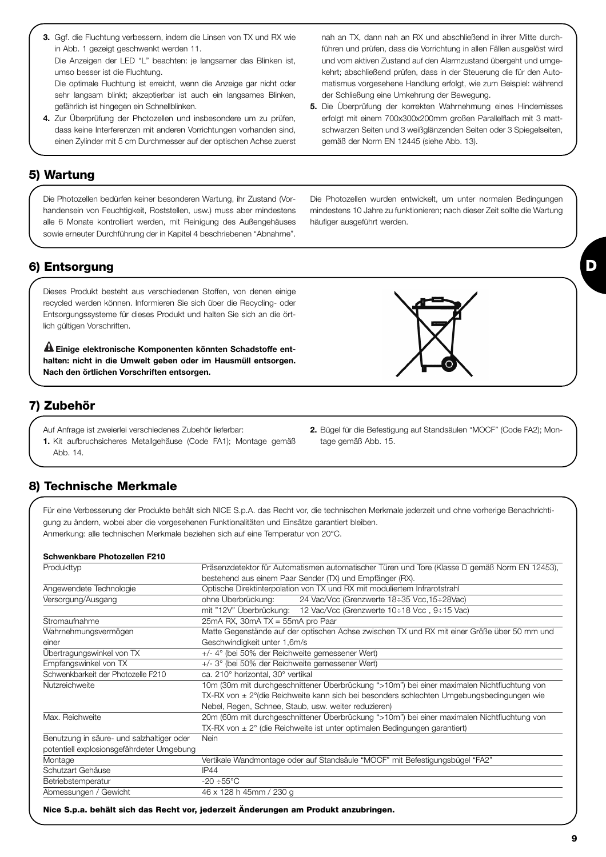Übertragungswinkel von TX +/- 4° (bei 50% der Reichweite gemessener Wert) Empfangswinkel von TX +/- 3° (bei 50% der Reichweite gemessener Wert) Schwenkbarkeit der Photozelle F210 ca. 210° horizontal, 30° vertikal

Schutzart Gehäuse **IP44** 

einer Geschwindigkeit unter 1,6m/s

TX-RX von  $\pm 2^{\circ}$  (die Reichweite ist unter optimalen Bedingungen garantiert) Benutzung in säure- und salzhaltiger oder Nein potentiell explosionsgefährdeter Umgebung Montage Vertikale Wandmontage oder auf Standsäule "MOCF" mit Befestigungsbügel "FA2"

Für eine Verbesserung der Produkte behält sich NICE S.p.A. das Recht vor, die technischen Merkmale jederzeit und ohne vorherige Benachrichti-

Produkttyp **Präsenzdetektor für Automatismen automatischer Türen und Tore (Klasse D gemäß Norm EN 12453)**, bestehend aus einem Paar Sender (TX) und Empfänger (RX).

Wahrnehmungsvermögen Matte Gegenstände auf der optischen Achse zwischen TX und RX mit einer Größe über 50 mm und

Nutzreichweite 10m (30m mit durchgeschnittener Überbrückung ">10m") bei einer maximalen Nichtfluchtung von

Nebel, Regen, Schnee, Staub, usw. weiter reduzieren) Max. Reichweite 20m (60m mit durchgeschnittener Überbrückung ">10m") bei einer maximalen Nichtfluchtung von

mit "12V" Überbrückung: 12 Vac/Vcc (Grenzwerte 10÷18 Vcc , 9÷15 Vac)

TX-RX von ± 2°(die Reichweite kann sich bei besonders schlechten Umgebungsbedingungen wie

Betriebstemperatur -20 ÷55°C Abmessungen / Gewicht 46 x 128 h 45mm / 230 g

Angewendete Technologie Optische Direktinterpolation von TX und RX mit moduliertem Infrarotstrahl Versorgung/Ausgang ohne Überbrückung: 24 Vac/Vcc (Grenzwerte 18÷35 Vcc,15÷28Vac)

**Nice S.p.a. behält sich das Recht vor, jederzeit Änderungen am Produkt anzubringen.**

- **3.** Ggf. die Fluchtung verbessern, indem die Linsen von TX und RX wie in Abb. 1 gezeigt geschwenkt werden 11. Die Anzeigen der LED "L" beachten: je langsamer das Blinken ist, umso besser ist die Fluchtung. Die optimale Fluchtung ist erreicht, wenn die Anzeige gar nicht oder sehr langsam blinkt; akzeptierbar ist auch ein langsames Blinken,
- gefährlich ist hingegen ein Schnellblinken. **4.** Zur Überprüfung der Photozellen und insbesondere um zu prüfen, dass keine Interferenzen mit anderen Vorrichtungen vorhanden sind, einen Zylinder mit 5 cm Durchmesser auf der optischen Achse zuerst

Die Photozellen bedürfen keiner besonderen Wartung, ihr Zustand (Vorhandensein von Feuchtigkeit, Roststellen, usw.) muss aber mindestens alle 6 Monate kontrolliert werden, mit Reinigung des Außengehäuses sowie erneuter Durchführung der in Kapitel 4 beschriebenen "Abnahme".

Die Photozellen wurden entwickelt, um unter normalen Bedingungen mindestens 10 Jahre zu funktionieren; nach dieser Zeit sollte die Wartung häufiger ausgeführt werden.

#### **6) Entsorgung**

**5) Wartung** 

Dieses Produkt besteht aus verschiedenen Stoffen, von denen einige recycled werden können. Informieren Sie sich über die Recycling- oder Entsorgungssysteme für dieses Produkt und halten Sie sich an die örtlich gültigen Vorschriften.

**Einige elektronische Komponenten könnten Schadstoffe ent-! halten: nicht in die Umwelt geben oder im Hausmüll entsorgen. Nach den örtlichen Vorschriften entsorgen.**

#### **7) Zubehör**

**8) Technische Merkmale** 

**Schwenkbare Photozellen F210**

- Auf Anfrage ist zweierlei verschiedenes Zubehör lieferbar:
- **1.** Kit aufbruchsicheres Metallgehäuse (Code FA1); Montage gemäß Abb. 14.

gung zu ändern, wobei aber die vorgesehenen Funktionalitäten und Einsätze garantiert bleiben.

Anmerkung: alle technischen Merkmale beziehen sich auf eine Temperatur von 20°C.

Stromaufnahme 25mA RX, 30mA TX = 55mA pro Paar

- **2.** Bügel für die Befestigung auf Standsäulen "MOCF" (Code FA2); Mon-
- tage gemäß Abb. 15.
- nah an TX, dann nah an RX und abschließend in ihrer Mitte durchführen und prüfen, dass die Vorrichtung in allen Fällen ausgelöst wird und vom aktiven Zustand auf den Alarmzustand übergeht und umgekehrt; abschließend prüfen, dass in der Steuerung die für den Automatismus vorgesehene Handlung erfolgt, wie zum Beispiel: während der Schließung eine Umkehrung der Bewegung.
- **5.** Die Überprüfung der korrekten Wahrnehmung eines Hindernisses erfolgt mit einem 700x300x200mm großen Parallelflach mit 3 mattschwarzen Seiten und 3 weißglänzenden Seiten oder 3 Spiegelseiten, gemäß der Norm EN 12445 (siehe Abb. 13).

**D**

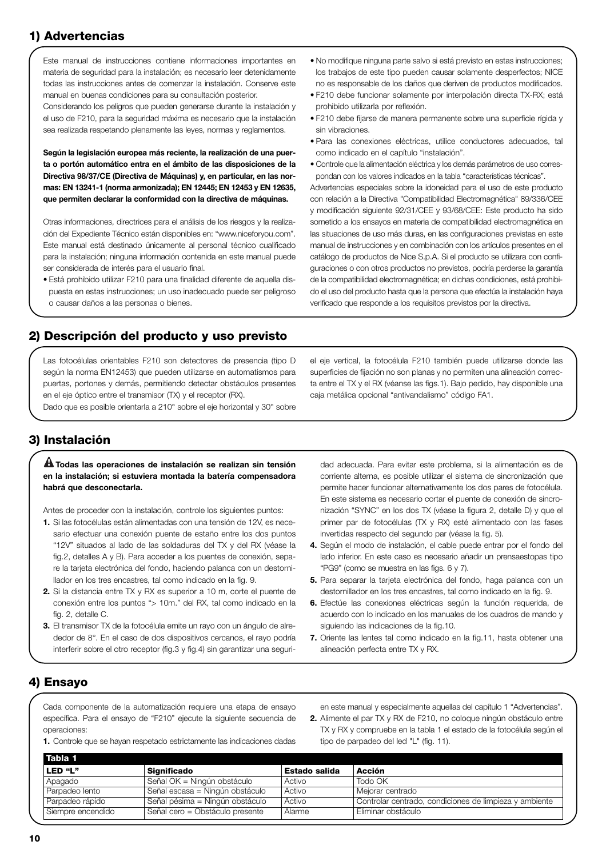# **1) Advertencias**

Este manual de instrucciones contiene informaciones importantes en materia de seguridad para la instalación; es necesario leer detenidamente todas las instrucciones antes de comenzar la instalación. Conserve este manual en buenas condiciones para su consultación posterior.

Considerando los peligros que pueden generarse durante la instalación y el uso de F210, para la seguridad máxima es necesario que la instalación sea realizada respetando plenamente las leyes, normas y reglamentos.

**Según la legislación europea más reciente, la realización de una puerta o portón automático entra en el ámbito de las disposiciones de la Directiva 98/37/CE (Directiva de Máquinas) y, en particular, en las normas: EN 13241-1 (norma armonizada); EN 12445; EN 12453 y EN 12635, que permiten declarar la conformidad con la directiva de máquinas.**

Otras informaciones, directrices para el análisis de los riesgos y la realización del Expediente Técnico están disponibles en: "www.niceforyou.com". Este manual está destinado únicamente al personal técnico cualificado para la instalación; ninguna información contenida en este manual puede ser considerada de interés para el usuario final.

• Está prohibido utilizar F210 para una finalidad diferente de aquella dispuesta en estas instrucciones; un uso inadecuado puede ser peligroso o causar daños a las personas o bienes.

- No modifique ninguna parte salvo si está previsto en estas instrucciones; los trabajos de este tipo pueden causar solamente desperfectos; NICE no es responsable de los daños que deriven de productos modificados.
- F210 debe funcionar solamente por interpolación directa TX-RX; está prohibido utilizarla por reflexión.
- F210 debe fijarse de manera permanente sobre una superficie rígida y sin vibraciones.
- Para las conexiones eléctricas, utilice conductores adecuados, tal como indicado en el capítulo "instalación".
- Controle que la alimentación eléctrica y los demás parámetros de uso correspondan con los valores indicados en la tabla "características técnicas".

Advertencias especiales sobre la idoneidad para el uso de este producto con relación a la Directiva "Compatibilidad Electromagnética" 89/336/CEE y modificación siguiente 92/31/CEE y 93/68/CEE: Este producto ha sido sometido a los ensayos en materia de compatibilidad electromagnética en las situaciones de uso más duras, en las configuraciones previstas en este manual de instrucciones y en combinación con los artículos presentes en el catálogo de productos de Nice S.p.A. Si el producto se utilizara con configuraciones o con otros productos no previstos, podría perderse la garantía de la compatibilidad electromagnética; en dichas condiciones, está prohibido el uso del producto hasta que la persona que efectúa la instalación haya verificado que responde a los requisitos previstos por la directiva.

#### **2) Descripción del producto y uso previsto**

Las fotocélulas orientables F210 son detectores de presencia (tipo D según la norma EN12453) que pueden utilizarse en automatismos para puertas, portones y demás, permitiendo detectar obstáculos presentes en el eje óptico entre el transmisor (TX) y el receptor (RX).

Dado que es posible orientarla a 210° sobre el eje horizontal y 30° sobre

el eje vertical, la fotocélula F210 también puede utilizarse donde las superficies de fijación no son planas y no permiten una alineación correcta entre el TX y el RX (véanse las figs.1). Bajo pedido, hay disponible una caja metálica opcional "antivandalismo" código FA1.

#### **3) Instalación**

**Todas las operaciones de instalación se realizan sin tensión ! en la instalación; si estuviera montada la batería compensadora habrá que desconectarla.**

Antes de proceder con la instalación, controle los siguientes puntos:

- **1.** Si las fotocélulas están alimentadas con una tensión de 12V, es necesario efectuar una conexión puente de estaño entre los dos puntos "12V" situados al lado de las soldaduras del TX y del RX (véase la fig.2, detalles A y B). Para acceder a los puentes de conexión, separe la tarjeta electrónica del fondo, haciendo palanca con un destornillador en los tres encastres, tal como indicado en la fig. 9.
- **2.** Si la distancia entre TX y RX es superior a 10 m, corte el puente de conexión entre los puntos "> 10m." del RX, tal como indicado en la fig. 2, detalle C.
- **3.** El transmisor TX de la fotocélula emite un rayo con un ángulo de alrededor de 8°. En el caso de dos dispositivos cercanos, el rayo podría interferir sobre el otro receptor (fig.3 y fig.4) sin garantizar una seguri-

dad adecuada. Para evitar este problema, si la alimentación es de corriente alterna, es posible utilizar el sistema de sincronización que permite hacer funcionar alternativamente los dos pares de fotocélula. En este sistema es necesario cortar el puente de conexión de sincronización "SYNC" en los dos TX (véase la figura 2, detalle D) y que el primer par de fotocélulas (TX y RX) esté alimentado con las fases invertidas respecto del segundo par (véase la fig. 5).

- **4.** Según el modo de instalación, el cable puede entrar por el fondo del lado inferior. En este caso es necesario añadir un prensaestopas tipo "PG9" (como se muestra en las figs. 6 y 7).
- **5.** Para separar la tarjeta electrónica del fondo, haga palanca con un destornillador en los tres encastres, tal como indicado en la fig. 9.
- **6.** Efectúe las conexiones eléctricas según la función requerida, de acuerdo con lo indicado en los manuales de los cuadros de mando y siguiendo las indicaciones de la fig.10.
- **7.** Oriente las lentes tal como indicado en la fig.11, hasta obtener una alineación perfecta entre TX y RX.

#### **4) Ensayo**

Cada componente de la automatización requiere una etapa de ensayo específica. Para el ensayo de "F210" ejecute la siguiente secuencia de operaciones:

**1.** Controle que se hayan respetado estrictamente las indicaciones dadas

en este manual y especialmente aquellas del capítulo 1 "Advertencias".

**2.** Alimente el par TX y RX de F210, no coloque ningún obstáculo entre TX y RX y compruebe en la tabla 1 el estado de la fotocélula según el tipo de parpadeo del led "L" (fig. 11).

| l Tabla 1         |                                 |                      |                                                        |
|-------------------|---------------------------------|----------------------|--------------------------------------------------------|
| LED "L"           | Significado                     | <b>Estado salida</b> | Acción                                                 |
| Apagado           | Señal OK = Ningún obstáculo     | Activo               | Todo OK                                                |
| Parpadeo lento    | Señal escasa = Ningún obstáculo | Activo               | Mejorar centrado                                       |
| Parpadeo rápido   | Señal pésima = Ningún obstáculo | Activo               | Controlar centrado, condiciones de limpieza y ambiente |
| Siempre encendido | Señal cero = Obstáculo presente | Alarme               | Eliminar obstáculo                                     |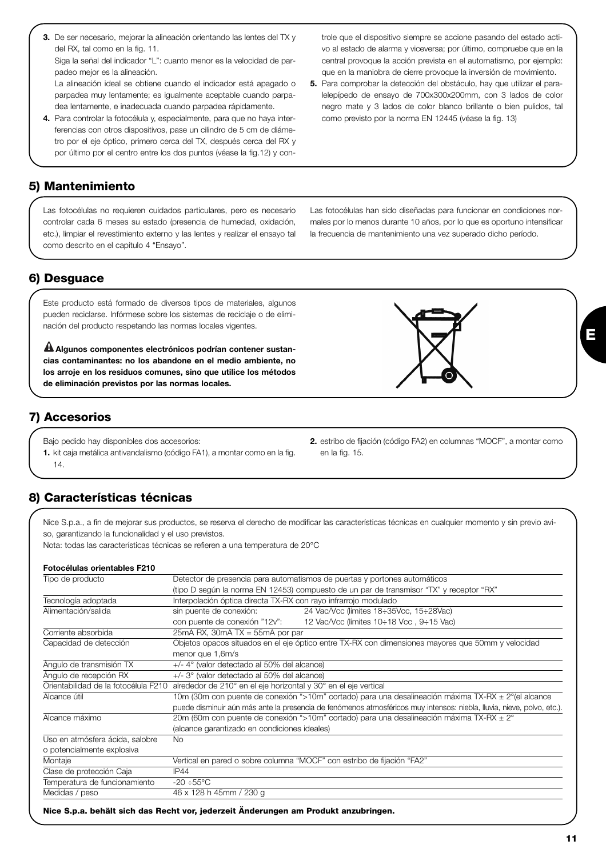**3.** De ser necesario, mejorar la alineación orientando las lentes del TX y del RX, tal como en la fig. 11.

Siga la señal del indicador "L": cuanto menor es la velocidad de parpadeo mejor es la alineación.

La alineación ideal se obtiene cuando el indicador está apagado o parpadea muy lentamente; es igualmente aceptable cuando parpadea lentamente, e inadecuada cuando parpadea rápidamente.

**4.** Para controlar la fotocélula y, especialmente, para que no haya interferencias con otros dispositivos, pase un cilindro de 5 cm de diámetro por el eje óptico, primero cerca del TX, después cerca del RX y por último por el centro entre los dos puntos (véase la fig.12) y con-

#### **5) Mantenimiento**

Las fotocélulas no requieren cuidados particulares, pero es necesario controlar cada 6 meses su estado (presencia de humedad, oxidación, etc.), limpiar el revestimiento externo y las lentes y realizar el ensayo tal como descrito en el capítulo 4 "Ensayo".

**6) Desguace**

Este producto está formado de diversos tipos de materiales, algunos pueden reciclarse. Infórmese sobre los sistemas de reciclaje o de eliminación del producto respetando las normas locales vigentes.

**Algunos componentes electrónicos podrían contener sustan-! cias contaminantes: no los abandone en el medio ambiente, no los arroje en los residuos comunes, sino que utilice los métodos de eliminación previstos por las normas locales.**

# **7) Accesorios**

Bajo pedido hay disponibles dos accesorios:

**1.** kit caja metálica antivandalismo (código FA1), a montar como en la fig. 14.

## **8) Características técnicas**

Nice S.p.a., a fin de mejorar sus productos, se reserva el derecho de modificar las características técnicas en cualquier momento y sin previo aviso, garantizando la funcionalidad y el uso previstos.

en la fig. 15.

Nota: todas las características técnicas se refieren a una temperatura de 20°C

#### **Fotocélulas orientables F210**

| Tipo de producto                     | Detector de presencia para automatismos de puertas y portones automáticos                            |                                                                                                                        |  |
|--------------------------------------|------------------------------------------------------------------------------------------------------|------------------------------------------------------------------------------------------------------------------------|--|
|                                      | (tipo D según la norma EN 12453) compuesto de un par de transmisor "TX" y receptor "RX"              |                                                                                                                        |  |
| Tecnología adoptada                  | Interpolación óptica directa TX-RX con rayo infrarrojo modulado                                      |                                                                                                                        |  |
| Alimentación/salida                  | sin puente de conexión:                                                                              | 24 Vac/Vcc (límites 18÷35Vcc, 15÷28Vac)                                                                                |  |
|                                      | con puente de conexión "12v":                                                                        | 12 Vac/Vcc (límites 10÷18 Vcc, 9÷15 Vac)                                                                               |  |
| Corriente absorbida                  | $25mA$ RX, $30mA$ TX = $55mA$ por par                                                                |                                                                                                                        |  |
| Capacidad de detección               |                                                                                                      | Objetos opacos situados en el eje óptico entre TX-RX con dimensiones mayores que 50mm y velocidad                      |  |
|                                      | menor que 1,6m/s                                                                                     |                                                                                                                        |  |
| Angulo de transmisión TX             | $+/-$ 4° (valor detectado al 50% del alcance)                                                        |                                                                                                                        |  |
| Ángulo de recepción RX               | +/- 3° (valor detectado al 50% del alcance)                                                          |                                                                                                                        |  |
| Orientabilidad de la fotocélula F210 | alrededor de 210° en el eje horizontal y 30° en el eje vertical                                      |                                                                                                                        |  |
| Alcance útil                         | 10m (30m con puente de conexión ">10m" cortado) para una desalineación máxima TX-RX ± 2° (el alcance |                                                                                                                        |  |
|                                      |                                                                                                      | puede disminuir aún más ante la presencia de fenómenos atmosféricos muy intensos: niebla, lluvia, nieve, polvo, etc.). |  |
| Alcance máximo                       |                                                                                                      | 20m (60m con puente de conexión ">10m" cortado) para una desalineación máxima TX-RX ± 2°                               |  |
|                                      | (alcance garantizado en condiciones ideales)                                                         |                                                                                                                        |  |
| Uso en atmósfera ácida, salobre      | No.                                                                                                  |                                                                                                                        |  |
| o potencialmente explosiva           |                                                                                                      |                                                                                                                        |  |
| Montaje                              |                                                                                                      | Vertical en pared o sobre columna "MOCF" con estribo de fijación "FA2"                                                 |  |
| Clase de protección Caja             | IP44                                                                                                 |                                                                                                                        |  |
| Temperatura de funcionamiento        | $-20 \div 55^{\circ}$ C                                                                              |                                                                                                                        |  |
| Medidas / peso                       | 46 x 128 h 45mm / 230 g                                                                              |                                                                                                                        |  |

trole que el dispositivo siempre se accione pasando del estado activo al estado de alarma y viceversa; por último, compruebe que en la central provoque la acción prevista en el automatismo, por ejemplo: que en la maniobra de cierre provoque la inversión de movimiento.

- **5.** Para comprobar la detección del obstáculo, hay que utilizar el paralelepípedo de ensayo de 700x300x200mm, con 3 lados de color negro mate y 3 lados de color blanco brillante o bien pulidos, tal como previsto por la norma EN 12445 (véase la fig. 13)
- Las fotocélulas han sido diseñadas para funcionar en condiciones normales por lo menos durante 10 años, por lo que es oportuno intensificar la frecuencia de mantenimiento una vez superado dicho período.



**2.** estribo de fijación (código FA2) en columnas "MOCF", a montar como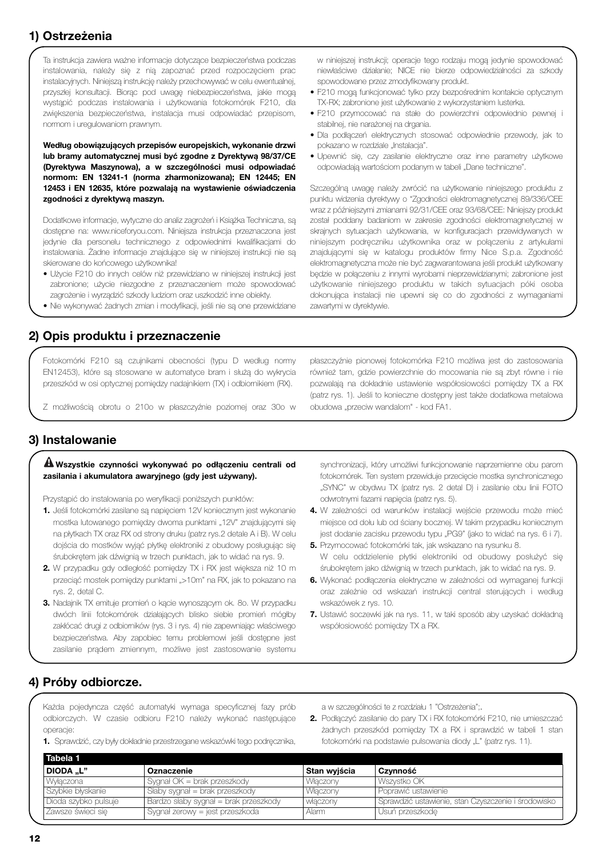# **1) Ostrzeżenia**

Ta instrukcja zawiera ważne informacje dotyczące bezpieczeństwa podczas instalowania, należy się z nią zapoznać przed rozpoczęciem prac instalacyjnych. Niniejszą instrukcję należy przechowywać w celu ewentualnej, przyszłej konsultacji. Biorąc pod uwagę niebezpieczeństwa, jakie mogą wystąpić podczas instalowania i użytkowania fotokomórek F210, dla zwiększenia bezpieczeństwa, instalacja musi odpowiadać przepisom, normom i uregulowaniom prawnym.

**Według obowiązujących przepisów europejskich, wykonanie drzwi lub bramy automatycznej musi być zgodne z Dyrektywą 98/37/CE (Dyrektywa Maszynowa), a w szczególności musi odpowiadać normom: EN 13241-1 (norma zharmonizowana); EN 12445; EN 12453 i EN 12635, które pozwalają na wystawienie oświadczenia zgodności z dyrektywą maszyn.**

Dodatkowe informacje, wytyczne do analiz zagrożeń i Książka Techniczna, są dostępne na: www.niceforyou.com. Niniejsza instrukcja przeznaczona jest jedynie dla personelu technicznego z odpowiednimi kwalifikacjami do instalowania. Żadne informacje znajdujące się w niniejszej instrukcji nie są skierowane do końcowego użytkownika!

- Użycie F210 do innych celów niż przewidziano w niniejszej instrukcji jest zabronione; użycie niezgodne z przeznaczeniem może spowodować zagrożenie i wyrządzić szkody ludziom oraz uszkodzić inne obiekty.
- Nie wykonywać żadnych zmian i modyfikacji, jeśli nie są one przewidziane

**2) Opis produktu i przeznaczenie**

Fotokomórki F210 są czujnikami obecności (typu D według normy EN12453), które są stosowane w automatyce bram i służą do wykrycia przeszkód w osi optycznej pomiędzy nadajnikiem (TX) i odbiornikiem (RX).

Z możliwością obrotu o 210o w płaszczyźnie poziomej oraz 30o w

w niniejszej instrukcji; operacje tego rodzaju mogą jedynie spowodować niewłaściwe działanie; NICE nie bierze odpowiedzialności za szkody spowodowane przez zmodyfikowany produkt.

- F210 mogą funkcjonować tylko przy bezpośrednim kontakcie optycznym TX-RX; zabronione jest użytkowanie z wykorzystaniem lusterka.
- F210 przymocować na stałe do powierzchni odpowiednio pewnej i stabilnej, nie narażonej na drgania.
- Dla podłączeń elektrycznych stosować odpowiednie przewody, jak to pokazano w rozdziale "Instalacia".
- Upewnić się, czy zasilanie elektryczne oraz inne parametry użytkowe odpowiadają wartościom podanym w tabeli "Dane techniczne".

Szczególną uwagę należy zwrócić na użytkowanie niniejszego produktu z punktu widzenia dyrektywy o "Zgodności elektromagnetycznej 89/336/CEE wraz z późniejszymi zmianami 92/31/CEE oraz 93/68/CEE: Niniejszy produkt został poddany badaniom w zakresie zgodności elektromagnetycznej w skrajnych sytuacjach użytkowania, w konfiguracjach przewidywanych w niniejszym podręczniku użytkownika oraz w połączeniu z artykułami znajdującymi się w katalogu produktów firmy Nice S.p.a. Zgodność elektromagnetyczna może nie być zagwarantowana jeśli produkt użytkowany będzie w połączeniu z innymi wyrobami nieprzewidzianymi; zabronione jest użytkowanie niniejszego produktu w takich sytuacjach póki osoba dokonująca instalacji nie upewni się co do zgodności z wymaganiami zawartymi w dyrektywie.

płaszczyźnie pionowej fotokomórka F210 możliwa jest do zastosowania również tam, gdzie powierzchnie do mocowania nie są zbyt równe i nie pozwalają na dokładnie ustawienie współosiowości pomiędzy TX a RX (patrz rys. 1). Jeśli to konieczne dostępny jest także dodatkowa metalowa obudowa "przeciw wandalom" - kod FA1.

#### **3) Instalowanie**

#### **Wszystkie czynności wykonywać po odłączeniu centrali od ! zasilania i akumulatora awaryjnego (gdy jest używany).**

- Przystąpić do instalowania po weryfikacji poniższych punktów:
- **1.** Jeśli fotokomórki zasilane są napięciem 12V koniecznym jest wykonanie mostka lutowanego pomiędzy dwoma punktami "12V" znajdującymi się na płytkach TX oraz RX od strony druku (patrz rys.2 detale A i B). W celu dojścia do mostków wyjąć płytkę elektroniki z obudowy posługując się śrubokrętem jak dźwignią w trzech punktach, jak to widać na rys. 9.
- **2.** W przypadku gdy odległość pomiędzy TX i RX jest większa niż 10 m przeciąć mostek pomiędzy punktami ">10m" na RX, jak to pokazano na rys. 2, detal C.
- **3.** Nadajnik TX emituje promień o kącie wynoszącym ok. 8o. W przypadku dwóch linii fotokomórek działających blisko siebie promień mógłby zakłócać drugi z odbiorników (rys. 3 i rys. 4) nie zapewniając właściwego bezpieczeństwa. Aby zapobiec temu problemowi jeśli dostepne jest zasilanie prądem zmiennym, możliwe jest zastosowanie systemu

synchronizacji, który umożliwi funkcjonowanie naprzemienne obu parom fotokomórek. Ten system przewiduje przecięcie mostka synchronicznego "SYNC" w obydwu TX (patrz rys. 2 detal D) i zasilanie obu linii FOTO odwrotnymi fazami napięcia (patrz rys. 5).

- **4.** W zależności od warunków instalacji wejście przewodu może mieć miejsce od dołu lub od ściany bocznej. W takim przypadku koniecznym jest dodanie zacisku przewodu typu "PG9" (jako to widać na rys. 6 i 7).
- **5.** Przymocować fotokomórki tak, jak wskazano na rysunku 8. W celu oddzielenie płytki elektroniki od obudowy posłużyć się śrubokrętem jako dźwignią w trzech punktach, jak to widać na rys. 9.
- **6.** Wykonać podłączenia elektryczne w zależności od wymaganej funkcji oraz zależnie od wskazań instrukcji central sterujących i według wskazówek z rys. 10.
- **7.** Ustawić soczewki jak na rys. 11, w taki sposób aby uzyskać dokładną współosiowość pomiędzy TX a RX.

#### **4) Próby odbiorcze.**

Każda pojedyncza część automatyki wymaga specyficznej fazy prób odbiorczych. W czasie odbioru F210 należy wykonać następujące operacje:

**1.** Sprawdzić, czy były dokładnie przestrzegane wskazówki tego podręcznika,

a w szczególności te z rozdziału 1 "Ostrzeżenia";.

**2.** Podłączyć zasilanie do pary TX i RX fotokomórki F210, nie umieszczać żadnych przeszkód pomiędzy TX a RX i sprawdzić w tabeli 1 stan fotokomórki na podstawie pulsowania diody "L" (patrz rys. 11).

| Oznaczenie                            | Stan wyjścia | Czynność                                            |
|---------------------------------------|--------------|-----------------------------------------------------|
| Sygnał OK = brak przeszkody           | Właczony     | Wszystko OK                                         |
| Słaby sygnał = brak przeszkody        | Właczony     | Poprawić ustawienie                                 |
| Bardzo słaby sygnał = brak przeszkody | właczony     | Sprawdzić ustawienie, stan Czyszczenie i środowisko |
| Sygnał zerowy = jest przeszkoda       | Alarm        | Usuń przeszkode                                     |
|                                       |              |                                                     |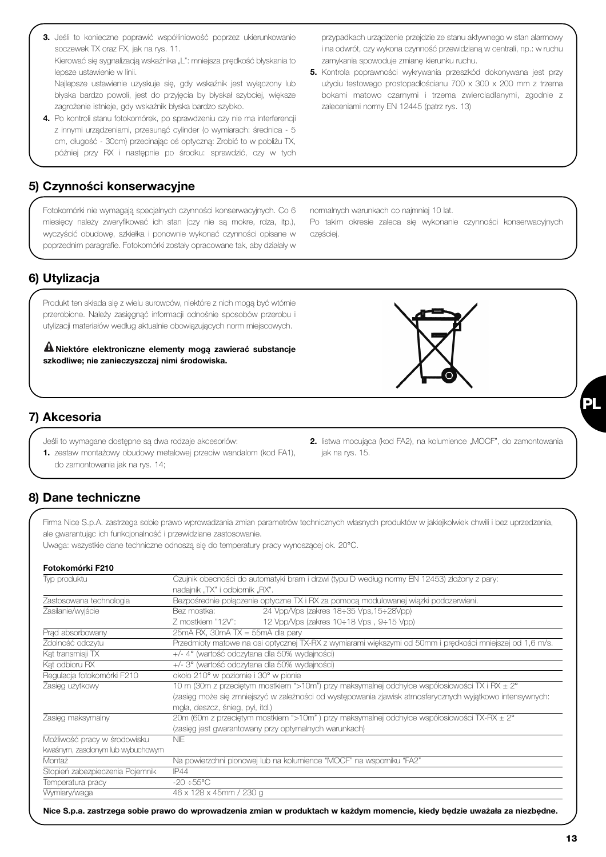**13**

#### **5) Czynności konserwacyjne**

Fotokomórki nie wymagają specjalnych czynności konserwacyjnych. Co 6 miesięcy należy zweryfikować ich stan (czy nie są mokre, rdza, itp.), wyczyścić obudowę, szkiełka i ponownie wykonać czynności opisane w poprzednim paragrafie. Fotokomórki zostały opracowane tak, aby działały w

normalnych warunkach co najmniej 10 lat.

Po takim okresie zaleca się wykonanie czynności konserwacyjnych częściej.

#### **6) Utylizacja**

Produkt ten składa się z wielu surowców, niektóre z nich mogą być wtórnie przerobione. Należy zasięgnąć informacji odnośnie sposobów przerobu i utylizacji materiałów według aktualnie obowiązujących norm miejscowych.

**Niektóre elektroniczne elementy mogą zawierać substancje ! szkodliwe; nie zanieczyszczaj nimi środowiska.** 

#### **7) Akcesoria**

- Jeśli to wymagane dostępne są dwa rodzaje akcesoriów:
- **1.** zestaw montażowy obudowy metalowej przeciw wandalom (kod FA1), do zamontowania jak na rys. 14;

#### **8) Dane techniczne**

Firma Nice S.p.A. zastrzega sobie prawo wprowadzania zmian parametrów technicznych własnych produktów w jakiejkolwiek chwili i bez uprzedzenia, ale gwarantując ich funkcjonalność i przewidziane zastosowanie.

jak na rys. 15.

Uwaga: wszystkie dane techniczne odnoszą się do temperatury pracy wynoszącej ok. 20°C.

#### **Fotokomórki F210**

| Typ produktu                      | Czujnik obecności do automatyki bram i drzwi (typu D według normy EN 12453) złożony z pary:<br>nadajnik "TX" i odbiomik "RX". |  |  |
|-----------------------------------|-------------------------------------------------------------------------------------------------------------------------------|--|--|
| Zastosowana technologia           | Bezpośrednie połączenie optyczne TX i RX za pomocą modulowanej wiązki podczerwieni.                                           |  |  |
| Zasilanie/wyiście                 | 24 Vpp/Vps (zakres 18:35 Vps, 15:28Vpp)<br>Bez mostka:                                                                        |  |  |
|                                   | 12 Vpp/Vps (zakres 10÷18 Vps, 9÷15 Vpp)<br>Z mostkiem "12V":                                                                  |  |  |
| Prad absorbowany                  | $25mA$ RX, $30mA$ TX = $55mA$ dla pary                                                                                        |  |  |
| Zdolność odczytu                  | Przedmioty matowe na osi optycznej TX-RX z wymiarami większymi od 50mm i prędkości mniejszej od 1,6 m/s.                      |  |  |
| Kat transmisji TX                 | +/- 4° (wartość odczytana dla 50% wydajności)                                                                                 |  |  |
| Kat odbioru RX                    | +/- 3° (wartość odczytana dla 50% wydajności)                                                                                 |  |  |
| Regulacja fotokomórki F210        | około 210° w poziomie i 30° w pionie                                                                                          |  |  |
| Zasięg użytkowy                   | 10 m (30m z przeciętym mostkiem ">10m") przy maksymalnej odchyłce współosiowości TX i RX ± 2°                                 |  |  |
|                                   | (zasięg może się zmniejszyć w zależności od występowania zjawisk atmosferycznych wyjątkowo intensywnych:                      |  |  |
|                                   | mgła, deszcz, śnieg, pył, itd.)                                                                                               |  |  |
| Zasięg maksymalny                 | 20m (60m z przeciętym mostkiem ">10m") przy maksymalnej odchyłce współosiowości TX-RX ± 2°                                    |  |  |
|                                   | (zasięg jest gwarantowany przy optymalnych warunkach)                                                                         |  |  |
| Możliwość pracy w środowisku      | <b>NIE</b>                                                                                                                    |  |  |
| kwaśnym, zasolonym lub wybuchowym |                                                                                                                               |  |  |
| Montaż                            | Na powierzchni pionowej lub na kolumience "MOCF" na wspomiku "FA2"                                                            |  |  |
| Stopień zabezpieczenia Pojemnik   | IP44                                                                                                                          |  |  |
| Temperatura pracy                 | $-20 \div 55^{\circ}$ C                                                                                                       |  |  |
| Wymiary/waga                      | 46 x 128 x 45mm / 230 g                                                                                                       |  |  |

przypadkach urządzenie przejdzie ze stanu aktywnego w stan alarmowy i na odwrót, czy wykona czynność przewidzianą w centrali, np.: w ruchu zamykania spowoduje zmianę kierunku ruchu.

**5.** Kontrola poprawności wykrywania przeszkód dokonywana jest przy użyciu testowego prostopadłościanu 700 x 300 x 200 mm z trzema bokami matowo czarnymi i trzema zwierciadlanymi, zgodnie z zaleceniami normy EN 12445 (patrz rys. 13)



błyska bardzo powoli, jest do przyjęcia by błyskał szybciej, większe zagrożenie istnieje, gdy wskaźnik błyska bardzo szybko. **4.** Po kontroli stanu fotokomórek, po sprawdzeniu czy nie ma interferencji z innymi urządzeniami, przesunąć cylinder (o wymiarach: średnica - 5

cm, długość - 30cm) przecinając oś optyczną: Zrobić to w pobliżu TX, później przy RX i następnie po środku: sprawdzić, czy w tych



**2.** listwa mocująca (kod FA2), na kolumience "MOCF", do zamontowania

**PL**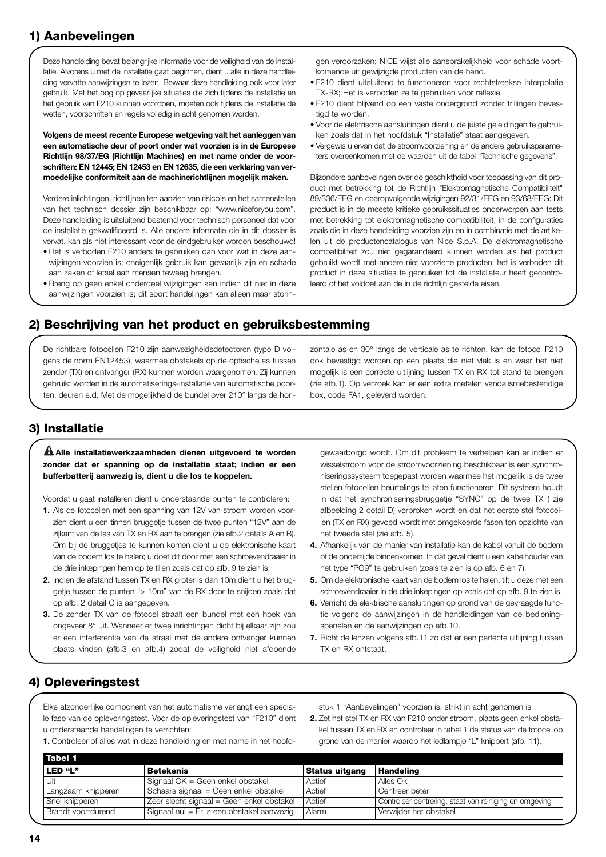## **1) Aanbevelingen**

Deze handleiding bevat belangrijke informatie voor de veiligheid van de installatie. Alvorens u met de installatie gaat beginnen, dient u alle in deze handleiding vervatte aanwijzingen te lezen. Bewaar deze handleiding ook voor later gebruik. Met het oog op gevaarlijke situaties die zich tijdens de installatie en het gebruik van F210 kunnen voordoen, moeten ook tijdens de installatie de wetten, voorschriften en regels volledig in acht genomen worden.

**Volgens de meest recente Europese wetgeving valt het aanleggen van een automatische deur of poort onder wat voorzien is in de Europese Richtlijn 98/37/EG (Richtlijn Machines) en met name onder de voorschriften: EN 12445; EN 12453 en EN 12635, die een verklaring van vermoedelijke conformiteit aan de machinerichtlijnen mogelijk maken.** 

Verdere inlichtingen, richtlijnen ten aanzien van risico's en het samenstellen van het technisch dossier zijn beschikbaar op: "www.niceforyou.com". Deze handleiding is uitsluitend bestemd voor technisch personeel dat voor de installatie gekwalificeerd is. Alle andere informatie die in dit dossier is vervat, kan als niet interessant voor de eindgebruiker worden beschouwd!

- Het is verboden F210 anders te gebruiken dan voor wat in deze aanwijzingen voorzien is; oneigenlijk gebruik kan gevaarlijk zijn en schade aan zaken of letsel aan mensen teweeg brengen.
- Breng op geen enkel onderdeel wijzigingen aan indien dit niet in deze aanwijzingen voorzien is; dit soort handelingen kan alleen maar storin-

gen veroorzaken; NICE wijst alle aansprakelijkheid voor schade voortkomende uit gewijzigde producten van de hand.

- F210 dient uitsluitend te functioneren voor rechtstreekse interpolatie TX-RX; Het is verboden ze te gebruiken voor reflexie.
- F210 dient blijvend op een vaste ondergrond zonder trillingen bevestigd te worden.
- Voor de elektrische aansluitingen dient u de juiste geleidingen te gebruiken zoals dat in het hoofdstuk "Installatie" staat aangegeven.
- Vergewis u ervan dat de stroomvoorziening en de andere gebruiksparameters overeenkomen met de waarden uit de tabel "Technische gegevens".

Bijzondere aanbevelingen over de geschiktheid voor toepassing van dit product met betrekking tot de Richtlijn "Elektromagnetische Compatibiliteit" 89/336/EEG en daaropvolgende wijzigingen 92/31/EEG en 93/68/EEG: Dit product is in de meeste kritieke gebruikssituaties onderworpen aan tests met betrekking tot elektromagnetische compatibiliteit, in de configuraties zoals die in deze handleiding voorzien zijn en in combinatie met de artikelen uit de productencatalogus van Nice S.p.A. De elektromagnetische compatibiliteit zou niet gegarandeerd kunnen worden als het product gebruikt wordt met andere niet voorziene producten; het is verboden dit product in deze situaties te gebruiken tot de installateur heeft gecontroleerd of het voldoet aan de in de richtlijn gestelde eisen.

#### **2) Beschrijving van het product en gebruiksbestemming**

De richtbare fotocellen F210 zijn aanwezigheidsdetectoren (type D volgens de norm EN12453), waarmee obstakels op de optische as tussen zender (TX) en ontvanger (RX) kunnen worden waargenomen. Zij kunnen gebruikt worden in de automatiserings-installatie van automatische poorten, deuren e.d. Met de mogelijkheid de bundel over 210° langs de horizontale as en 30° langs de verticale as te richten, kan de fotocel F210 ook bevestigd worden op een plaats die niet vlak is en waar het niet mogelijk is een correcte uitlijning tussen TX en RX tot stand te brengen (zie afb.1). Op verzoek kan er een extra metalen vandalismebestendige box, code FA1, geleverd worden.

## **3) Installatie**

**Alle installatiewerkzaamheden dienen uitgevoerd te worden ! zonder dat er spanning op de installatie staat; indien er een bufferbatterij aanwezig is, dient u die los te koppelen.**

Voordat u gaat installeren dient u onderstaande punten te controleren:

- **1.** Als de fotocellen met een spanning van 12V van stroom worden voorzien dient u een tinnen bruggetje tussen de twee punten "12V" aan de zijkant van de las van TX en RX aan te brengen (zie afb.2 details A en B). Om bij de bruggetjes te kunnen komen dient u de elektronische kaart van de bodem los te halen; u doet dit door met een schroevendraaier in de drie inkepingen hem op te tillen zoals dat op afb. 9 te zien is.
- **2.** Indien de afstand tussen TX en RX groter is dan 10m dient u het bruggetje tussen de punten "> 10m" van de RX door te snijden zoals dat op afb. 2 detail C is aangegeven.
- **3.** De zender TX van de fotocel straalt een bundel met een hoek van ongeveer 8° uit. Wanneer er twee inrichtingen dicht bij elkaar zijn zou er een interferentie van de straal met de andere ontvanger kunnen plaats vinden (afb.3 en afb.4) zodat de veiligheid niet afdoende

gewaarborgd wordt. Om dit probleem te verhelpen kan er indien er wisselstroom voor de stroomvoorziening beschikbaar is een synchroniseringssysteem toegepast worden waarmee het mogelijk is de twee stellen fotocellen beurtelings te laten functioneren. Dit systeem houdt in dat het synchroniseringsbruggetje "SYNC" op de twee TX ( zie afbeelding 2 detail D) verbroken wordt en dat het eerste stel fotocellen (TX en RX) gevoed wordt met omgekeerde fasen ten opzichte van het tweede stel (zie afb. 5).

- **4.** Afhankelijk van de manier van installatie kan de kabel vanuit de bodem of de onderzijde binnenkomen. In dat geval dient u een kabelhouder van het type "PG9" te gebruiken (zoals te zien is op afb. 6 en 7).
- **5.** Om de elektronische kaart van de bodem los te halen, tilt u deze met een schroevendraaier in de drie inkepingen op zoals dat op afb. 9 te zien is.
- **6.** Verricht de elektrische aansluitingen op grond van de gevraagde functie volgens de aanwijzingen in de handleidingen van de bedieningspanelen en de aanwijzingen op afb.10.
- **7.** Richt de lenzen volgens afb.11 zo dat er een perfecte uitlijning tussen TX en RX ontstaat.

## **4) Opleveringstest**

Elke afzonderlijke component van het automatisme verlangt een speciale fase van de opleveringstest. Voor de opleveringstest van "F210" dient u onderstaande handelingen te verrichten:

**1.** Controleer of alles wat in deze handleiding en met name in het hoofd-

stuk 1 "Aanbevelingen" voorzien is, strikt in acht genomen is .

**2.** Zet het stel TX en RX van F210 onder stroom, plaats geen enkel obstakel tussen TX en RX en controleer in tabel 1 de status van de fotocel op grond van de manier waarop het ledlampje "L" knippert (afb. 11).

| Tabel 1            |                                           |                       |                                                        |
|--------------------|-------------------------------------------|-----------------------|--------------------------------------------------------|
| LED "L"            | <b>Betekenis</b>                          | <b>Status uitgang</b> | <b>Handeling</b>                                       |
| Uit                | Signaal OK = Geen enkel obstakel          | Actief                | Alles Ok                                               |
| Langzaam knipperen | Schaars signaal = Geen enkel obstakel     | Actief                | Centreer beter                                         |
| Snel knipperen     | Zeer slecht signaal = Geen enkel obstakel | Actief                | Controleer centrering, staat van reiniging en omgeving |
| Brandt voortdurend | Signaal nul = Er is een obstakel aanwezig | Alarm                 | Verwijder het obstakel                                 |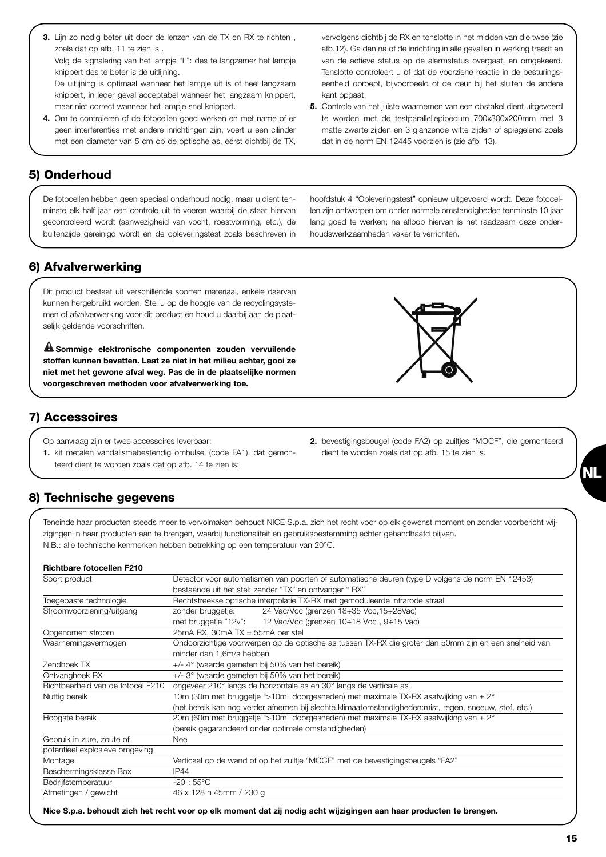**3.** Lijn zo nodig beter uit door de lenzen van de TX en RX te richten , zoals dat op afb. 11 te zien is . Volg de signalering van het lampje "L": des te langzamer het lampje

knippert des te beter is de uitlijning.

De uitlijning is optimaal wanneer het lampje uit is of heel langzaam knippert, in ieder geval acceptabel wanneer het langzaam knippert, maar niet correct wanneer het lampje snel knippert.

**4.** Om te controleren of de fotocellen goed werken en met name of er geen interferenties met andere inrichtingen zijn, voert u een cilinder met een diameter van 5 cm op de optische as, eerst dichtbij de TX,

De fotocellen hebben geen speciaal onderhoud nodig, maar u dient tenminste elk half jaar een controle uit te voeren waarbij de staat hiervan gecontroleerd wordt (aanwezigheid van vocht, roestvorming, etc.), de buitenzijde gereinigd wordt en de opleveringstest zoals beschreven in hoofdstuk 4 "Opleveringstest" opnieuw uitgevoerd wordt. Deze fotocellen zijn ontworpen om onder normale omstandigheden tenminste 10 jaar lang goed te werken; na afloop hiervan is het raadzaam deze onderhoudswerkzaamheden vaker te verrichten.

# **6) Afvalverwerking**

**5) Onderhoud** 

Dit product bestaat uit verschillende soorten materiaal, enkele daarvan kunnen hergebruikt worden. Stel u op de hoogte van de recyclingsystemen of afvalverwerking voor dit product en houd u daarbij aan de plaatselijk geldende voorschriften.

**Sommige elektronische componenten zouden vervuilende ! stoffen kunnen bevatten. Laat ze niet in het milieu achter, gooi ze niet met het gewone afval weg. Pas de in de plaatselijke normen voorgeschreven methoden voor afvalverwerking toe.**

#### **7) Accessoires**

- Op aanvraag zijn er twee accessoires leverbaar:
- **1.** kit metalen vandalismebestendig omhulsel (code FA1), dat gemonteerd dient te worden zoals dat op afb. 14 te zien is;

#### **8) Technische gegevens**

Teneinde haar producten steeds meer te vervolmaken behoudt NICE S.p.a. zich het recht voor op elk gewenst moment en zonder voorbericht wijzigingen in haar producten aan te brengen, waarbij functionaliteit en gebruiksbestemming echter gehandhaafd blijven. N.B.: alle technische kenmerken hebben betrekking op een temperatuur van 20°C.

#### **Richtbare fotocellen F210**

| Soort product                     | Detector voor automatismen van poorten of automatische deuren (type D volgens de norm EN 12453)       |
|-----------------------------------|-------------------------------------------------------------------------------------------------------|
|                                   | bestaande uit het stel: zender "TX" en ontvanger "RX"                                                 |
| Toegepaste technologie            | Rechtstreekse optische interpolatie TX-RX met gemoduleerde infrarode straal                           |
| Stroomvoorziening/uitgang         | 24 Vac/Vcc (grenzen 18:35 Vcc, 15:28Vac)<br>zonder bruggetje:                                         |
|                                   | met bruggetje "12v": 12 Vac/Vcc (grenzen 10÷18 Vcc, 9÷15 Vac)                                         |
| Opgenomen stroom                  | $25mA RX$ , $30mA TX = 55mA$ per stel                                                                 |
| Waarnemingsvermogen               | Ondoorzichtige voorwerpen op de optische as tussen TX-RX die groter dan 50mm zijn en een snelheid van |
|                                   | minder dan 1,6m/s hebben                                                                              |
| Zendhoek TX                       | +/- 4° (waarde gemeten bij 50% van het bereik)                                                        |
| Ontvanghoek RX                    | +/- 3° (waarde gemeten bij 50% van het bereik)                                                        |
| Richtbaarheid van de fotocel F210 | ongeveer 210° langs de horizontale as en 30° langs de verticale as                                    |
| Nuttig bereik                     | 10m (30m met bruggetje ">10m" doorgesneden) met maximale TX-RX asafwijking van $\pm 2^{\circ}$        |
|                                   | (het bereik kan nog verder afnemen bij slechte klimaatomstandigheden:mist, regen, sneeuw, stof, etc.) |
| Hoogste bereik                    | 20m (60m met bruggetje ">10m" doorgesneden) met maximale TX-RX asafwijking van ± 2°                   |
|                                   | (bereik gegarandeerd onder optimale omstandigheden)                                                   |
| Gebruik in zure, zoute of         | <b>Nee</b>                                                                                            |
| potentieel explosieve omgeving    |                                                                                                       |
| Montage                           | Verticaal op de wand of op het zuiltje "MOCF" met de bevestigingsbeugels "FA2"                        |
| Beschermingsklasse Box            | IP44                                                                                                  |
| Bedrijfstemperatuur               | $-20 \div 55^{\circ}$ C                                                                               |
| Afmetingen / gewicht              | 46 x 128 h 45mm / 230 g                                                                               |

vervolgens dichtbij de RX en tenslotte in het midden van die twee (zie afb.12). Ga dan na of de inrichting in alle gevallen in werking treedt en van de actieve status op de alarmstatus overgaat, en omgekeerd. Tenslotte controleert u of dat de voorziene reactie in de besturingseenheid oproept, bijvoorbeeld of de deur bij het sluiten de andere kant opgaat.

**5.** Controle van het juiste waarnemen van een obstakel dient uitgevoerd te worden met de testparallellepipedum 700x300x200mm met 3 matte zwarte zijden en 3 glanzende witte zijden of spiegelend zoals dat in de norm EN 12445 voorzien is (zie afb. 13).



**2.** bevestigingsbeugel (code FA2) op zuiltjes "MOCF", die gemonteerd

dient te worden zoals dat op afb. 15 te zien is.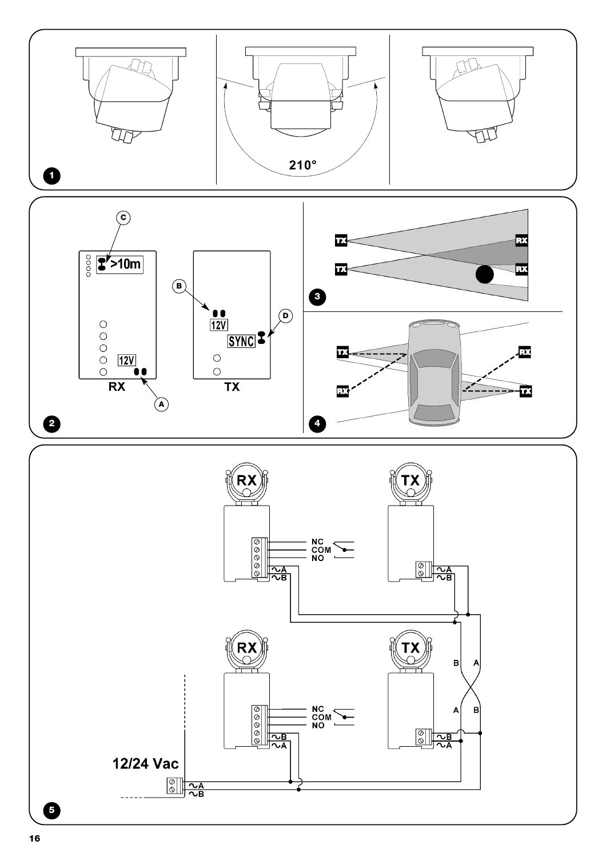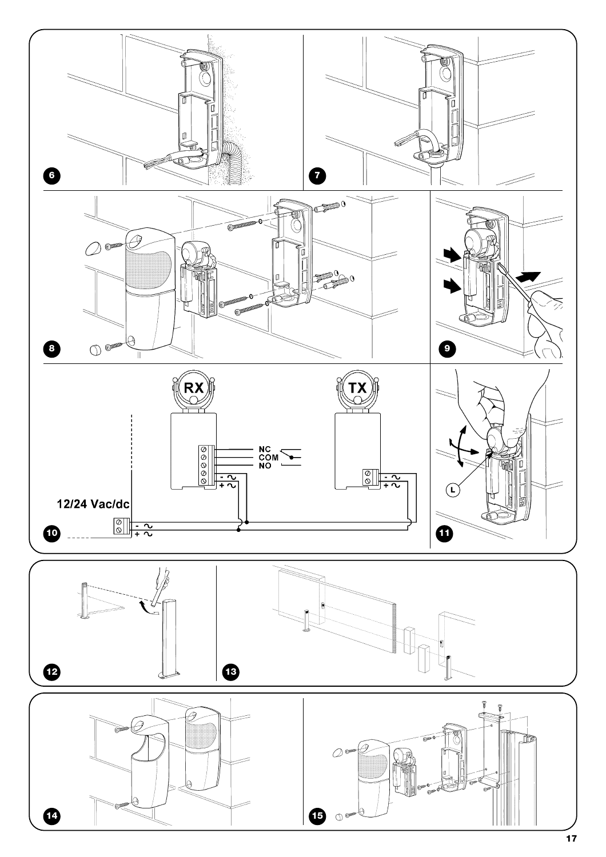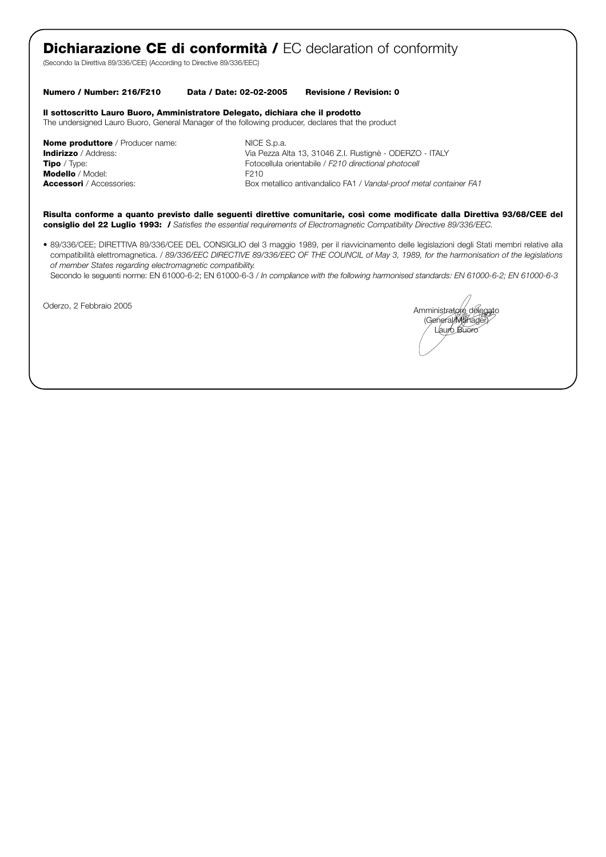# **Dichiarazione CE di conformità / EC** declaration of conformity

(Secondo la Direttiva 89/336/CEE) (According to Directive 89/336/EEC)

#### **Numero / Number: 216/F210 Data / Date: 02-02-2005 Revisione / Revision: 0**

#### **Il sottoscritto Lauro Buoro, Amministratore Delegato, dichiara che il prodotto**

The undersigned Lauro Buoro, General Manager of the following producer, declares that the product

**Nome produttore** / Producer name: NICE S.p.a. **Modello** / Model: F210

**Indirizzo** / Address: **Via Pezza Alta 13, 31046 Z.I. Rustignè - ODERZO - ITALY**<br>**Tipo** / Type: **Via Pezza Alta 13, 31046 Z.I. Rustignè - ODERZO - ITALY** Fotocellula orientabile / *F210 directional photocell* **Accessori** / Accessories: Box metallico antivandalico FA1 / *Vandal-proof metal container FA1* 

**Risulta conforme a quanto previsto dalle seguenti direttive comunitarie, così come modificate dalla Direttiva 93/68/CEE del consiglio del 22 Luglio 1993: /** *Satisfies the essential requirements of Electromagnetic Compatibility Directive 89/336/EEC.*

*•* 89/336/CEE; DIRETTIVA 89/336/CEE DEL CONSIGLIO del 3 maggio 1989, per il riavvicinamento delle legislazioni degli Stati membri relative alla compatibilità elettromagnetica. / *89/336/EEC DIRECTIVE 89/336/EEC OF THE COUNCIL of May 3, 1989, for the harmonisation of the legislations of member States regarding electromagnetic compatibility.*

Secondo le seguenti norme: EN 61000-6-2; EN 61000-6-3 / *In compliance with the following harmonised standards: EN 61000-6-2; EN 61000-6-3*

Oderzo, 2 Febbraio 2005 **Amministratore della contrata della contrata della contrata della contrata della contrata della contrata della contrata della contrata della contrata della contrata della contrata della contrata de** (General Manager) Lauro Buoro